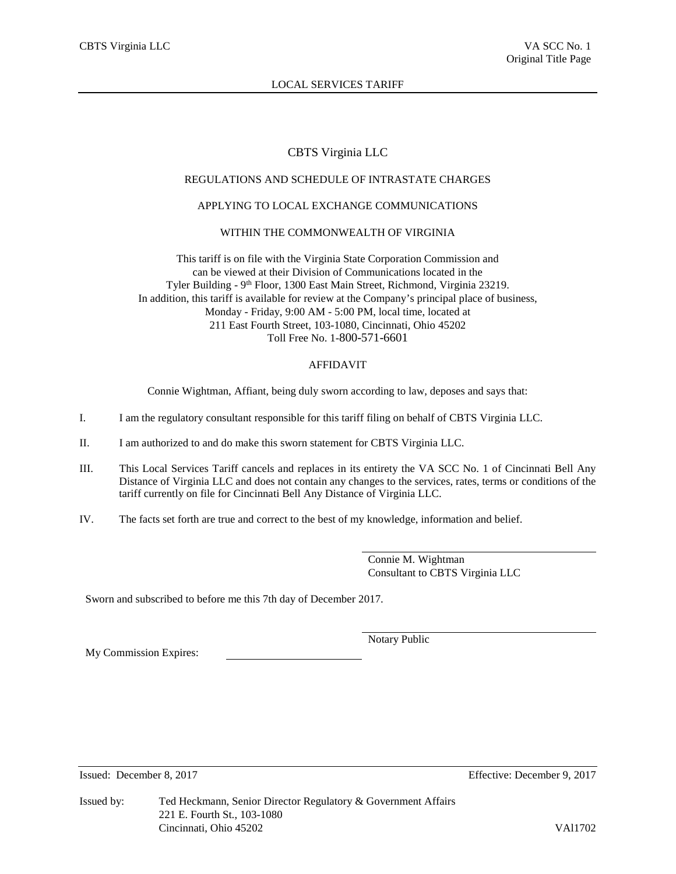# CBTS Virginia LLC

# REGULATIONS AND SCHEDULE OF INTRASTATE CHARGES

# APPLYING TO LOCAL EXCHANGE COMMUNICATIONS

## WITHIN THE COMMONWEALTH OF VIRGINIA

This tariff is on file with the Virginia State Corporation Commission and can be viewed at their Division of Communications located in the Tyler Building - 9<sup>th</sup> Floor, 1300 East Main Street, Richmond, Virginia 23219. In addition, this tariff is available for review at the Company's principal place of business, Monday - Friday, 9:00 AM - 5:00 PM, local time, located at 211 East Fourth Street, 103-1080, Cincinnati, Ohio 45202 Toll Free No. 1-800-571-6601

# AFFIDAVIT

Connie Wightman, Affiant, being duly sworn according to law, deposes and says that:

- I. I am the regulatory consultant responsible for this tariff filing on behalf of CBTS Virginia LLC.
- II. I am authorized to and do make this sworn statement for CBTS Virginia LLC.
- III. This Local Services Tariff cancels and replaces in its entirety the VA SCC No. 1 of Cincinnati Bell Any Distance of Virginia LLC and does not contain any changes to the services, rates, terms or conditions of the tariff currently on file for Cincinnati Bell Any Distance of Virginia LLC.
- IV. The facts set forth are true and correct to the best of my knowledge, information and belief.

Connie M. Wightman Consultant to CBTS Virginia LLC

Sworn and subscribed to before me this 7th day of December 2017.

My Commission Expires:

Notary Public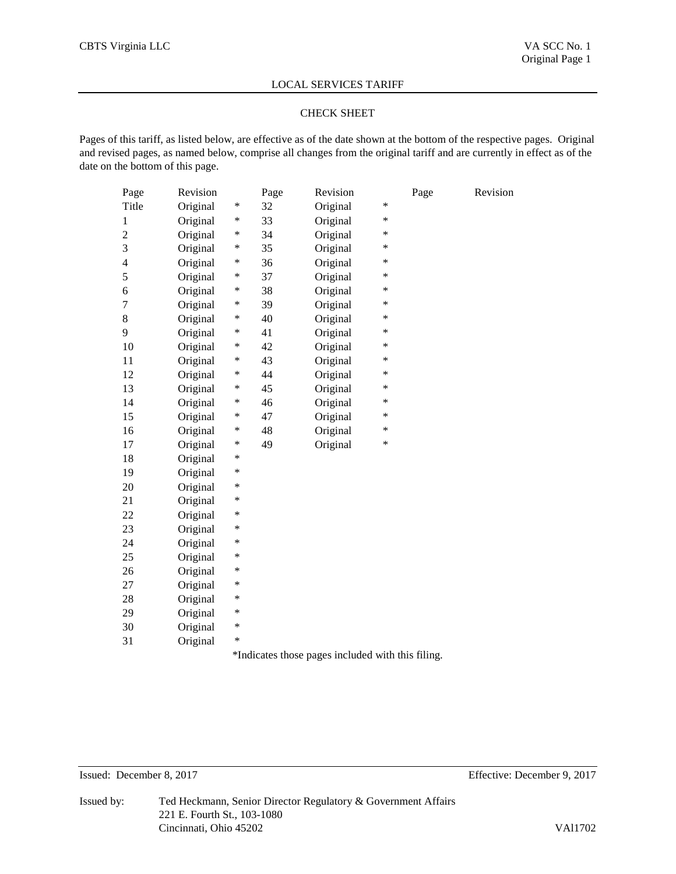#### CHECK SHEET

Pages of this tariff, as listed below, are effective as of the date shown at the bottom of the respective pages. Original and revised pages, as named below, comprise all changes from the original tariff and are currently in effect as of the date on the bottom of this page.

| Page                     | Revision |   | Page | Revision                                          |   | Page | Revision |
|--------------------------|----------|---|------|---------------------------------------------------|---|------|----------|
| Title                    | Original | * | 32   | Original                                          | ∗ |      |          |
| 1                        | Original | ∗ | 33   | Original                                          | * |      |          |
| $\overline{c}$           | Original | ∗ | 34   | Original                                          | * |      |          |
| 3                        | Original | * | 35   | Original                                          | * |      |          |
| $\overline{\mathcal{L}}$ | Original | * | 36   | Original                                          | * |      |          |
| 5                        | Original | * | 37   | Original                                          | * |      |          |
| 6                        | Original | ∗ | 38   | Original                                          | * |      |          |
| $\overline{7}$           | Original | ∗ | 39   | Original                                          | * |      |          |
| 8                        | Original | ∗ | 40   | Original                                          | * |      |          |
| 9                        | Original | ∗ | 41   | Original                                          | * |      |          |
| 10                       | Original | ∗ | 42   | Original                                          | * |      |          |
| 11                       | Original | ∗ | 43   | Original                                          | * |      |          |
| 12                       | Original | * | 44   | Original                                          | ∗ |      |          |
| 13                       | Original | * | 45   | Original                                          | * |      |          |
| 14                       | Original | * | 46   | Original                                          | * |      |          |
| 15                       | Original | * | 47   | Original                                          | * |      |          |
| 16                       | Original | * | 48   | Original                                          | * |      |          |
| 17                       | Original | * | 49   | Original                                          | * |      |          |
| 18                       | Original | * |      |                                                   |   |      |          |
| 19                       | Original | * |      |                                                   |   |      |          |
| 20                       | Original | * |      |                                                   |   |      |          |
| 21                       | Original | * |      |                                                   |   |      |          |
| 22                       | Original | * |      |                                                   |   |      |          |
| 23                       | Original | * |      |                                                   |   |      |          |
| 24                       | Original | * |      |                                                   |   |      |          |
| 25                       | Original | * |      |                                                   |   |      |          |
| 26                       | Original | * |      |                                                   |   |      |          |
| 27                       | Original | * |      |                                                   |   |      |          |
| 28                       | Original | * |      |                                                   |   |      |          |
| 29                       | Original | * |      |                                                   |   |      |          |
| 30                       | Original | * |      |                                                   |   |      |          |
| 31                       | Original | * |      |                                                   |   |      |          |
|                          |          |   |      | $*Indiceta$ those negacinely ded with this filing |   |      |          |

\*Indicates those pages included with this filing.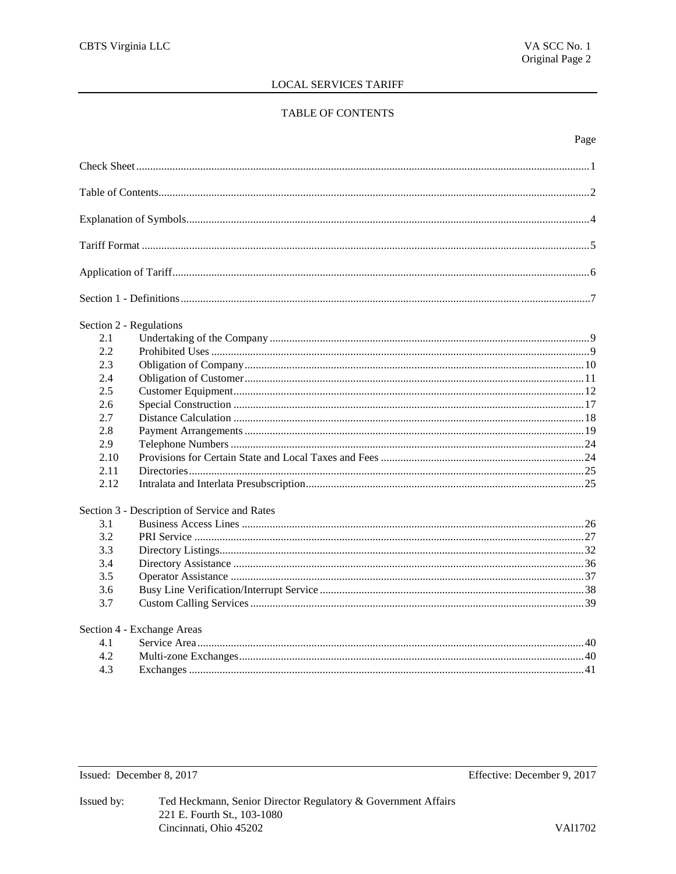# TABLE OF CONTENTS

| Section 2 - Regulations |                                              |  |
|-------------------------|----------------------------------------------|--|
| 2.1                     |                                              |  |
| 2.2                     |                                              |  |
| 2.3                     |                                              |  |
| 2.4                     |                                              |  |
| 2.5                     |                                              |  |
| 2.6                     |                                              |  |
| 2.7                     |                                              |  |
| 2.8                     |                                              |  |
| 2.9                     |                                              |  |
| 2.10                    |                                              |  |
| 2.11                    |                                              |  |
| 2.12                    |                                              |  |
|                         | Section 3 - Description of Service and Rates |  |
| 3.1                     |                                              |  |
| 3.2                     |                                              |  |
| 3.3                     |                                              |  |
| 3.4                     |                                              |  |
| 3.5                     |                                              |  |
| 3.6                     |                                              |  |
| 3.7                     |                                              |  |
|                         | Section 4 - Exchange Areas                   |  |
| 4.1                     |                                              |  |
| 4.2                     |                                              |  |
| 4.3                     |                                              |  |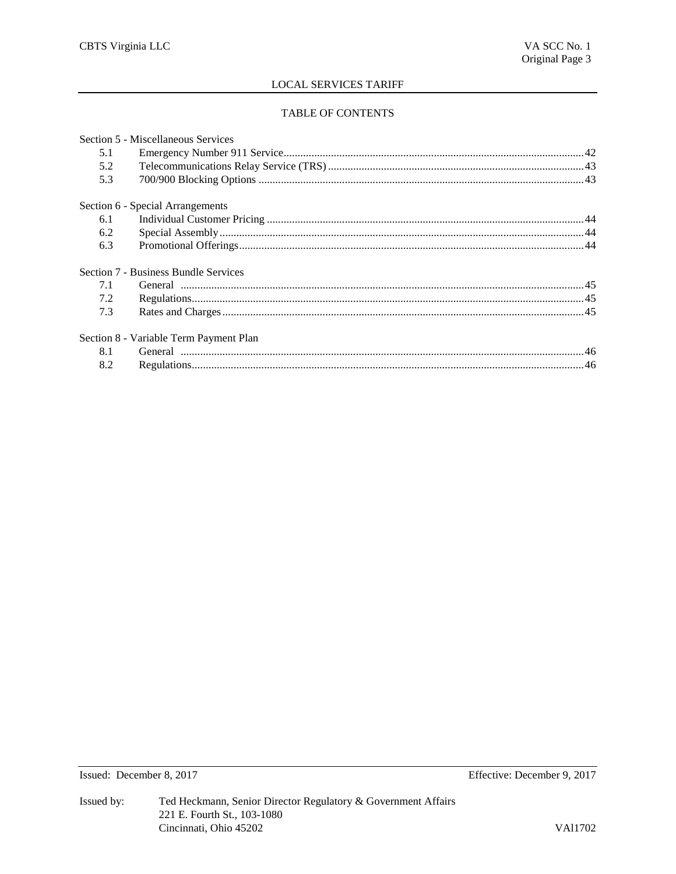# TABLE OF CONTENTS

|     | Section 5 - Miscellaneous Services                                                                                                                                                                                                                                                                                                                                                                                                                                                                                          |  |
|-----|-----------------------------------------------------------------------------------------------------------------------------------------------------------------------------------------------------------------------------------------------------------------------------------------------------------------------------------------------------------------------------------------------------------------------------------------------------------------------------------------------------------------------------|--|
| 5.1 |                                                                                                                                                                                                                                                                                                                                                                                                                                                                                                                             |  |
| 5.2 |                                                                                                                                                                                                                                                                                                                                                                                                                                                                                                                             |  |
| 5.3 |                                                                                                                                                                                                                                                                                                                                                                                                                                                                                                                             |  |
|     | Section 6 - Special Arrangements                                                                                                                                                                                                                                                                                                                                                                                                                                                                                            |  |
| 6.1 |                                                                                                                                                                                                                                                                                                                                                                                                                                                                                                                             |  |
| 6.2 |                                                                                                                                                                                                                                                                                                                                                                                                                                                                                                                             |  |
| 6.3 |                                                                                                                                                                                                                                                                                                                                                                                                                                                                                                                             |  |
|     | Section 7 - Business Bundle Services                                                                                                                                                                                                                                                                                                                                                                                                                                                                                        |  |
| 7.1 |                                                                                                                                                                                                                                                                                                                                                                                                                                                                                                                             |  |
| 7.2 | ${\bf Regularions.}\label{def:regularization} {\bf Regular} is a non-1. \textit{regular} (a) is a non-1. \textit{regular} (b) is a non-1. \textit{general} (c) is a non-1. \textit{general} (d) is a non-1. \textit{general} (e) is a non-1. \textit{general} (f) is a non-1. \textit{general} (g) is a non-1. \textit{general} (h) is a non-1. \textit{general} (i) is a non-1. \textit{general} (i) is a non-1. \textit{general} (j) is a non-1. \textit{general} (j) is a non-1. \textit{general} (j) is a non-1. \text$ |  |
| 7.3 |                                                                                                                                                                                                                                                                                                                                                                                                                                                                                                                             |  |
|     | Section 8 - Variable Term Payment Plan                                                                                                                                                                                                                                                                                                                                                                                                                                                                                      |  |
| 8.1 |                                                                                                                                                                                                                                                                                                                                                                                                                                                                                                                             |  |
| 8.2 |                                                                                                                                                                                                                                                                                                                                                                                                                                                                                                                             |  |
|     |                                                                                                                                                                                                                                                                                                                                                                                                                                                                                                                             |  |

Issued: December 8, 2017

Effective: December 9, 2017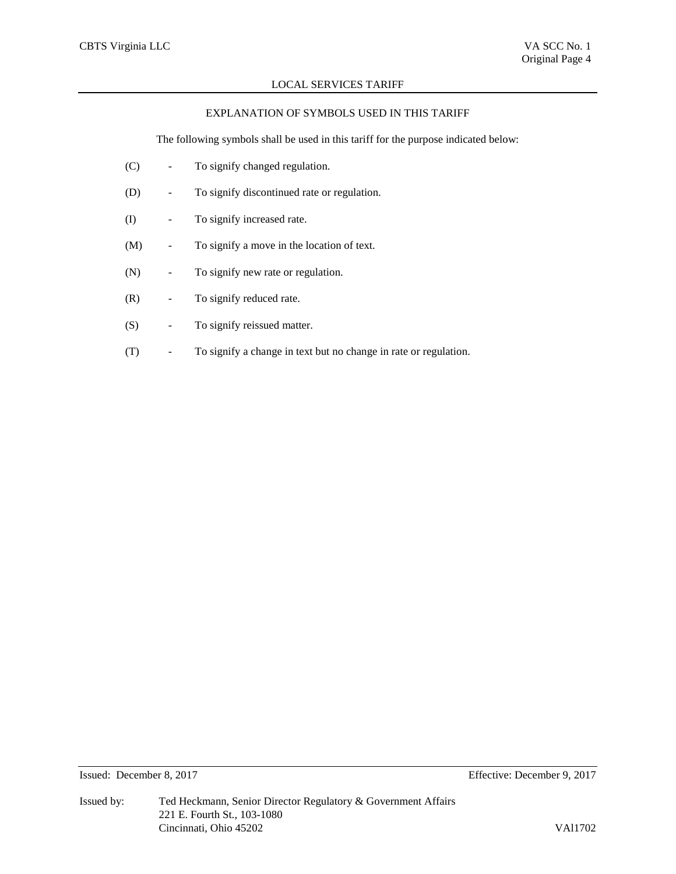# EXPLANATION OF SYMBOLS USED IN THIS TARIFF

The following symbols shall be used in this tariff for the purpose indicated below:

- (C) To signify changed regulation.
- (D) To signify discontinued rate or regulation.
- (I) To signify increased rate.
- (M) To signify a move in the location of text.
- (N) To signify new rate or regulation.
- (R) To signify reduced rate.
- (S) To signify reissued matter.
- (T) To signify a change in text but no change in rate or regulation.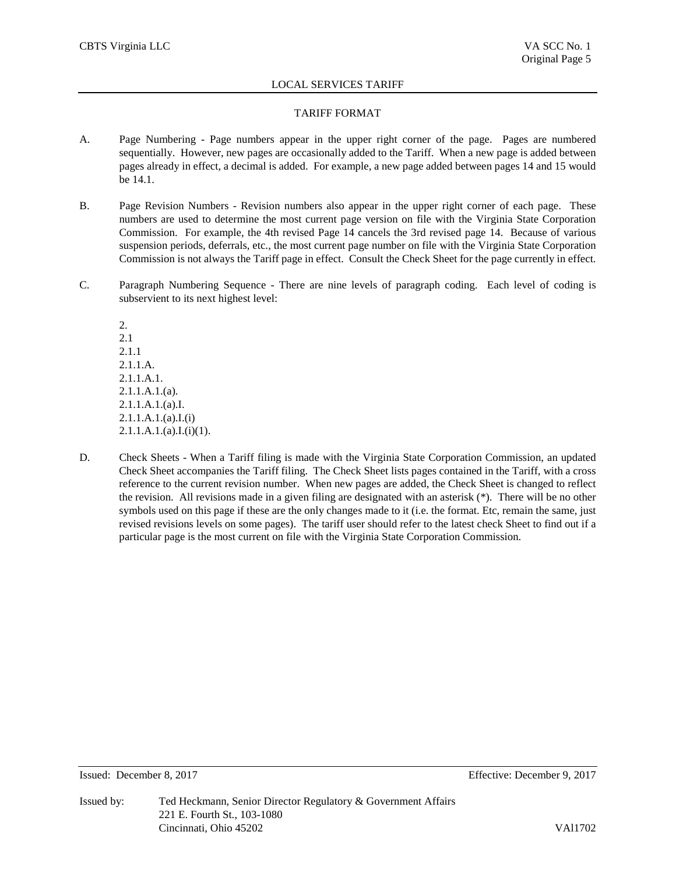# TARIFF FORMAT

- A. Page Numbering Page numbers appear in the upper right corner of the page. Pages are numbered sequentially. However, new pages are occasionally added to the Tariff. When a new page is added between pages already in effect, a decimal is added. For example, a new page added between pages 14 and 15 would be 14.1.
- B. Page Revision Numbers Revision numbers also appear in the upper right corner of each page. These numbers are used to determine the most current page version on file with the Virginia State Corporation Commission. For example, the 4th revised Page 14 cancels the 3rd revised page 14. Because of various suspension periods, deferrals, etc., the most current page number on file with the Virginia State Corporation Commission is not always the Tariff page in effect. Consult the Check Sheet for the page currently in effect.
- C. Paragraph Numbering Sequence There are nine levels of paragraph coding. Each level of coding is subservient to its next highest level:

2. 2.1 2.1.1 2.1.1.A. 2.1.1.A.1.  $2.1.1.A.1.(a)$ . 2.1.1.A.1.(a).I.  $2.1.1.A.1.(a).I.(i)$  $2.1.1.A.1.(a).I.(i)(1).$ 

D. Check Sheets - When a Tariff filing is made with the Virginia State Corporation Commission, an updated Check Sheet accompanies the Tariff filing. The Check Sheet lists pages contained in the Tariff, with a cross reference to the current revision number. When new pages are added, the Check Sheet is changed to reflect the revision. All revisions made in a given filing are designated with an asterisk (\*). There will be no other symbols used on this page if these are the only changes made to it (i.e. the format. Etc, remain the same, just revised revisions levels on some pages). The tariff user should refer to the latest check Sheet to find out if a particular page is the most current on file with the Virginia State Corporation Commission.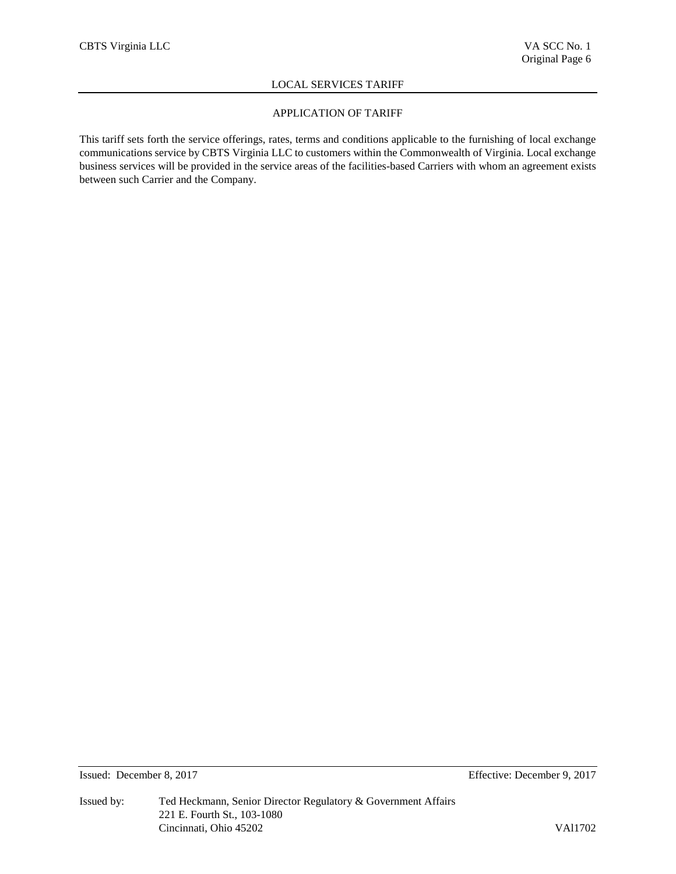# APPLICATION OF TARIFF

This tariff sets forth the service offerings, rates, terms and conditions applicable to the furnishing of local exchange communications service by CBTS Virginia LLC to customers within the Commonwealth of Virginia. Local exchange business services will be provided in the service areas of the facilities-based Carriers with whom an agreement exists between such Carrier and the Company.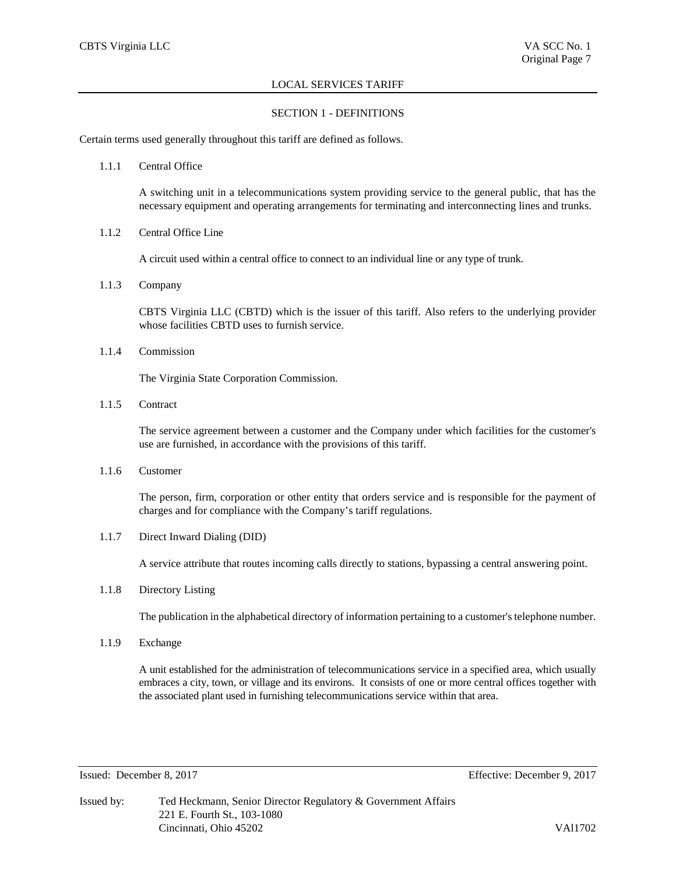# SECTION 1 - DEFINITIONS

Certain terms used generally throughout this tariff are defined as follows.

1.1.1 Central Office

A switching unit in a telecommunications system providing service to the general public, that has the necessary equipment and operating arrangements for terminating and interconnecting lines and trunks.

1.1.2 Central Office Line

A circuit used within a central office to connect to an individual line or any type of trunk.

1.1.3 Company

CBTS Virginia LLC (CBTD) which is the issuer of this tariff. Also refers to the underlying provider whose facilities CBTD uses to furnish service.

1.1.4 Commission

The Virginia State Corporation Commission.

1.1.5 Contract

The service agreement between a customer and the Company under which facilities for the customer's use are furnished, in accordance with the provisions of this tariff.

1.1.6 Customer

The person, firm, corporation or other entity that orders service and is responsible for the payment of charges and for compliance with the Company's tariff regulations.

1.1.7 Direct Inward Dialing (DID)

A service attribute that routes incoming calls directly to stations, bypassing a central answering point.

1.1.8 Directory Listing

The publication in the alphabetical directory of information pertaining to a customer's telephone number.

1.1.9 Exchange

A unit established for the administration of telecommunications service in a specified area, which usually embraces a city, town, or village and its environs. It consists of one or more central offices together with the associated plant used in furnishing telecommunications service within that area.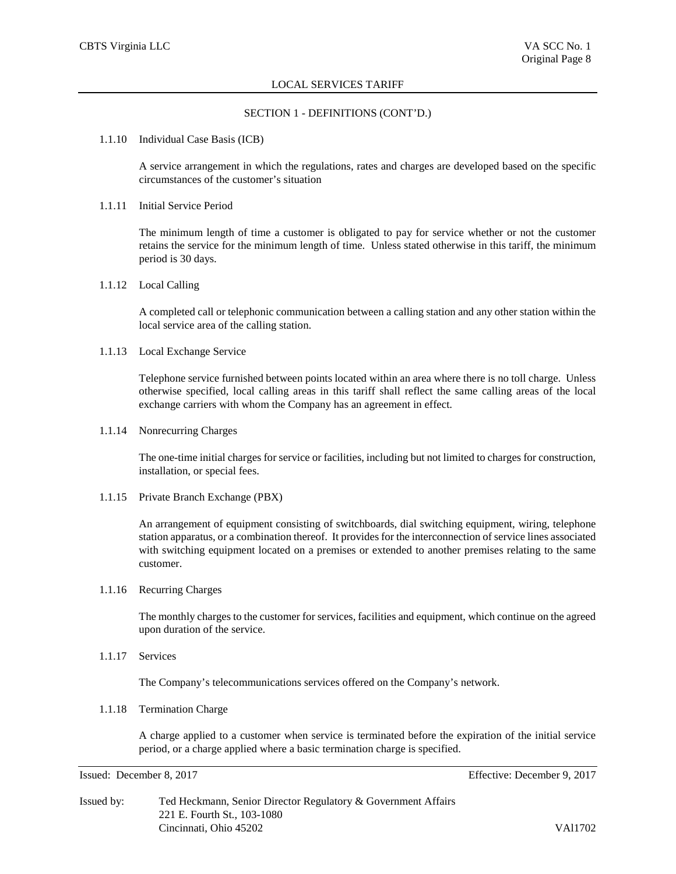#### SECTION 1 - DEFINITIONS (CONT'D.)

#### 1.1.10 Individual Case Basis (ICB)

A service arrangement in which the regulations, rates and charges are developed based on the specific circumstances of the customer's situation

## 1.1.11 Initial Service Period

The minimum length of time a customer is obligated to pay for service whether or not the customer retains the service for the minimum length of time. Unless stated otherwise in this tariff, the minimum period is 30 days.

# 1.1.12 Local Calling

A completed call or telephonic communication between a calling station and any other station within the local service area of the calling station.

#### 1.1.13 Local Exchange Service

Telephone service furnished between points located within an area where there is no toll charge. Unless otherwise specified, local calling areas in this tariff shall reflect the same calling areas of the local exchange carriers with whom the Company has an agreement in effect.

# 1.1.14 Nonrecurring Charges

The one-time initial charges for service or facilities, including but not limited to charges for construction, installation, or special fees.

1.1.15 Private Branch Exchange (PBX)

An arrangement of equipment consisting of switchboards, dial switching equipment, wiring, telephone station apparatus, or a combination thereof. It provides for the interconnection of service lines associated with switching equipment located on a premises or extended to another premises relating to the same customer.

# 1.1.16 Recurring Charges

The monthly charges to the customer for services, facilities and equipment, which continue on the agreed upon duration of the service.

1.1.17 Services

The Company's telecommunications services offered on the Company's network.

# 1.1.18 Termination Charge

A charge applied to a customer when service is terminated before the expiration of the initial service period, or a charge applied where a basic termination charge is specified.

| Issued by: | Ted Heckmann, Senior Director Regulatory & Government Affairs |         |  |  |
|------------|---------------------------------------------------------------|---------|--|--|
|            | 221 E. Fourth St., 103-1080                                   |         |  |  |
|            | Cincinnati, Ohio 45202                                        | VA11702 |  |  |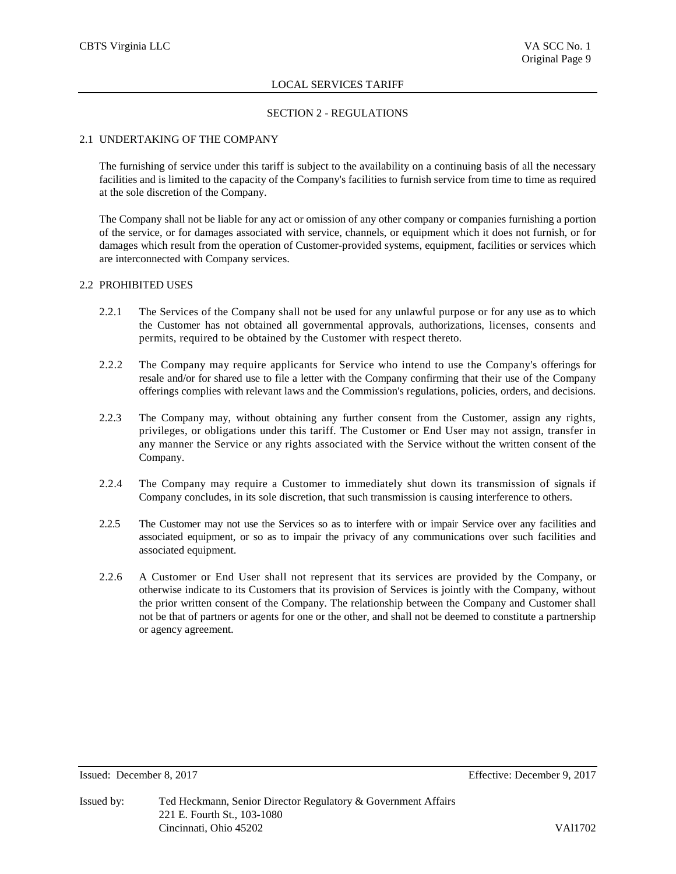# SECTION 2 - REGULATIONS

# 2.1 UNDERTAKING OF THE COMPANY

The furnishing of service under this tariff is subject to the availability on a continuing basis of all the necessary facilities and is limited to the capacity of the Company's facilities to furnish service from time to time as required at the sole discretion of the Company.

The Company shall not be liable for any act or omission of any other company or companies furnishing a portion of the service, or for damages associated with service, channels, or equipment which it does not furnish, or for damages which result from the operation of Customer-provided systems, equipment, facilities or services which are interconnected with Company services.

# 2.2 PROHIBITED USES

- 2.2.1 The Services of the Company shall not be used for any unlawful purpose or for any use as to which the Customer has not obtained all governmental approvals, authorizations, licenses, consents and permits, required to be obtained by the Customer with respect thereto.
- 2.2.2 The Company may require applicants for Service who intend to use the Company's offerings for resale and/or for shared use to file a letter with the Company confirming that their use of the Company offerings complies with relevant laws and the Commission's regulations, policies, orders, and decisions.
- 2.2.3 The Company may, without obtaining any further consent from the Customer, assign any rights, privileges, or obligations under this tariff. The Customer or End User may not assign, transfer in any manner the Service or any rights associated with the Service without the written consent of the Company.
- 2.2.4 The Company may require a Customer to immediately shut down its transmission of signals if Company concludes, in its sole discretion, that such transmission is causing interference to others.
- 2.2.5 The Customer may not use the Services so as to interfere with or impair Service over any facilities and associated equipment, or so as to impair the privacy of any communications over such facilities and associated equipment.
- 2.2.6 A Customer or End User shall not represent that its services are provided by the Company, or otherwise indicate to its Customers that its provision of Services is jointly with the Company, without the prior written consent of the Company. The relationship between the Company and Customer shall not be that of partners or agents for one or the other, and shall not be deemed to constitute a partnership or agency agreement.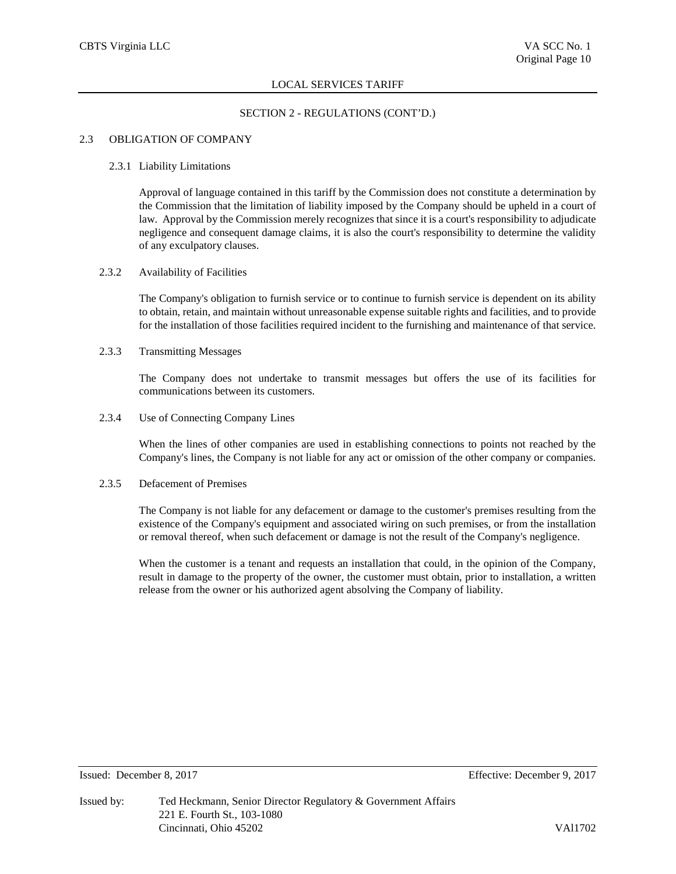# SECTION 2 - REGULATIONS (CONT'D.)

# 2.3 OBLIGATION OF COMPANY

#### 2.3.1 Liability Limitations

Approval of language contained in this tariff by the Commission does not constitute a determination by the Commission that the limitation of liability imposed by the Company should be upheld in a court of law. Approval by the Commission merely recognizes that since it is a court's responsibility to adjudicate negligence and consequent damage claims, it is also the court's responsibility to determine the validity of any exculpatory clauses.

# 2.3.2 Availability of Facilities

The Company's obligation to furnish service or to continue to furnish service is dependent on its ability to obtain, retain, and maintain without unreasonable expense suitable rights and facilities, and to provide for the installation of those facilities required incident to the furnishing and maintenance of that service.

# 2.3.3 Transmitting Messages

The Company does not undertake to transmit messages but offers the use of its facilities for communications between its customers.

2.3.4 Use of Connecting Company Lines

When the lines of other companies are used in establishing connections to points not reached by the Company's lines, the Company is not liable for any act or omission of the other company or companies.

## 2.3.5 Defacement of Premises

The Company is not liable for any defacement or damage to the customer's premises resulting from the existence of the Company's equipment and associated wiring on such premises, or from the installation or removal thereof, when such defacement or damage is not the result of the Company's negligence.

When the customer is a tenant and requests an installation that could, in the opinion of the Company, result in damage to the property of the owner, the customer must obtain, prior to installation, a written release from the owner or his authorized agent absolving the Company of liability.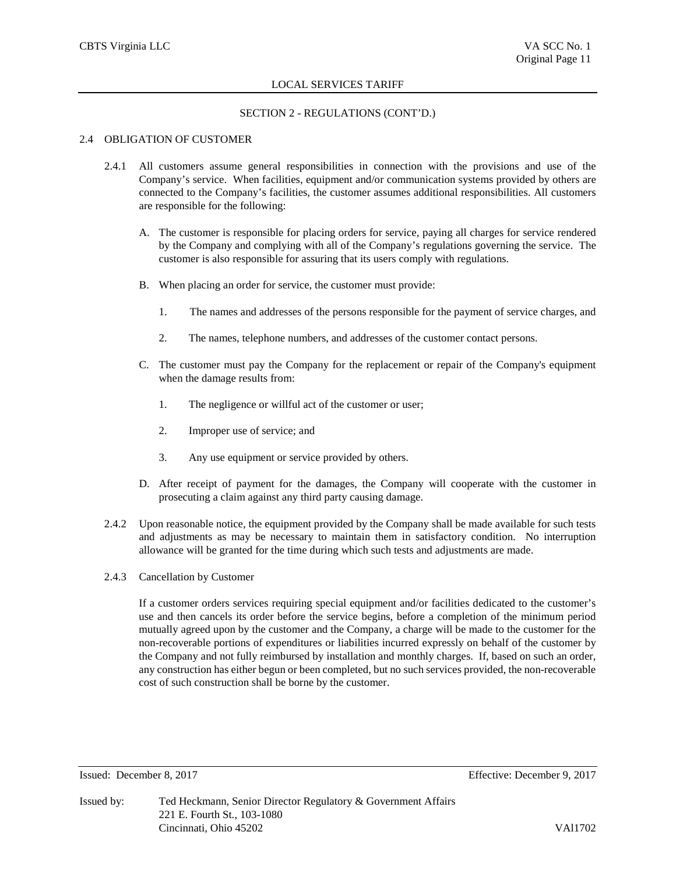## SECTION 2 - REGULATIONS (CONT'D.)

# 2.4 OBLIGATION OF CUSTOMER

- 2.4.1 All customers assume general responsibilities in connection with the provisions and use of the Company's service. When facilities, equipment and/or communication systems provided by others are connected to the Company's facilities, the customer assumes additional responsibilities. All customers are responsible for the following:
	- A. The customer is responsible for placing orders for service, paying all charges for service rendered by the Company and complying with all of the Company's regulations governing the service. The customer is also responsible for assuring that its users comply with regulations.
	- B. When placing an order for service, the customer must provide:
		- 1. The names and addresses of the persons responsible for the payment of service charges, and
		- 2. The names, telephone numbers, and addresses of the customer contact persons.
	- C. The customer must pay the Company for the replacement or repair of the Company's equipment when the damage results from:
		- 1. The negligence or willful act of the customer or user;
		- 2. Improper use of service; and
		- 3. Any use equipment or service provided by others.
	- D. After receipt of payment for the damages, the Company will cooperate with the customer in prosecuting a claim against any third party causing damage.
- 2.4.2 Upon reasonable notice, the equipment provided by the Company shall be made available for such tests and adjustments as may be necessary to maintain them in satisfactory condition. No interruption allowance will be granted for the time during which such tests and adjustments are made.
- 2.4.3 Cancellation by Customer

If a customer orders services requiring special equipment and/or facilities dedicated to the customer's use and then cancels its order before the service begins, before a completion of the minimum period mutually agreed upon by the customer and the Company, a charge will be made to the customer for the non-recoverable portions of expenditures or liabilities incurred expressly on behalf of the customer by the Company and not fully reimbursed by installation and monthly charges. If, based on such an order, any construction has either begun or been completed, but no such services provided, the non-recoverable cost of such construction shall be borne by the customer.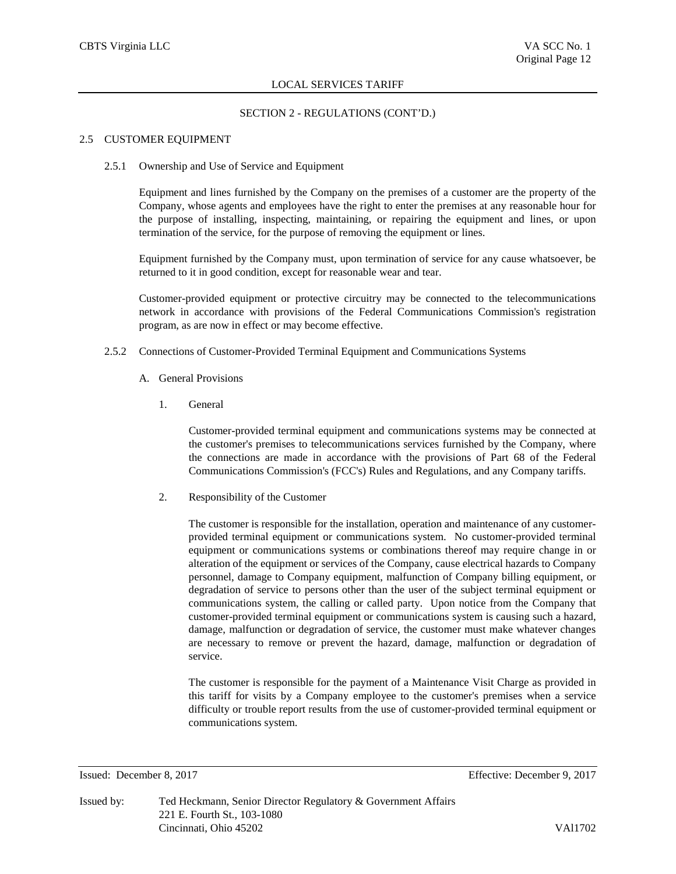### SECTION 2 - REGULATIONS (CONT'D.)

#### 2.5 CUSTOMER EQUIPMENT

2.5.1 Ownership and Use of Service and Equipment

Equipment and lines furnished by the Company on the premises of a customer are the property of the Company, whose agents and employees have the right to enter the premises at any reasonable hour for the purpose of installing, inspecting, maintaining, or repairing the equipment and lines, or upon termination of the service, for the purpose of removing the equipment or lines.

Equipment furnished by the Company must, upon termination of service for any cause whatsoever, be returned to it in good condition, except for reasonable wear and tear.

Customer-provided equipment or protective circuitry may be connected to the telecommunications network in accordance with provisions of the Federal Communications Commission's registration program, as are now in effect or may become effective.

- 2.5.2 Connections of Customer-Provided Terminal Equipment and Communications Systems
	- A. General Provisions
		- 1. General

Customer-provided terminal equipment and communications systems may be connected at the customer's premises to telecommunications services furnished by the Company, where the connections are made in accordance with the provisions of Part 68 of the Federal Communications Commission's (FCC's) Rules and Regulations, and any Company tariffs.

2. Responsibility of the Customer

The customer is responsible for the installation, operation and maintenance of any customerprovided terminal equipment or communications system. No customer-provided terminal equipment or communications systems or combinations thereof may require change in or alteration of the equipment or services of the Company, cause electrical hazards to Company personnel, damage to Company equipment, malfunction of Company billing equipment, or degradation of service to persons other than the user of the subject terminal equipment or communications system, the calling or called party. Upon notice from the Company that customer-provided terminal equipment or communications system is causing such a hazard, damage, malfunction or degradation of service, the customer must make whatever changes are necessary to remove or prevent the hazard, damage, malfunction or degradation of service.

The customer is responsible for the payment of a Maintenance Visit Charge as provided in this tariff for visits by a Company employee to the customer's premises when a service difficulty or trouble report results from the use of customer-provided terminal equipment or communications system.

Issued: December 8, 2017 Effective: December 9, 2017

Issued by: Ted Heckmann, Senior Director Regulatory & Government Affairs 221 E. Fourth St., 103-1080 Cincinnati, Ohio 45202 VAl1702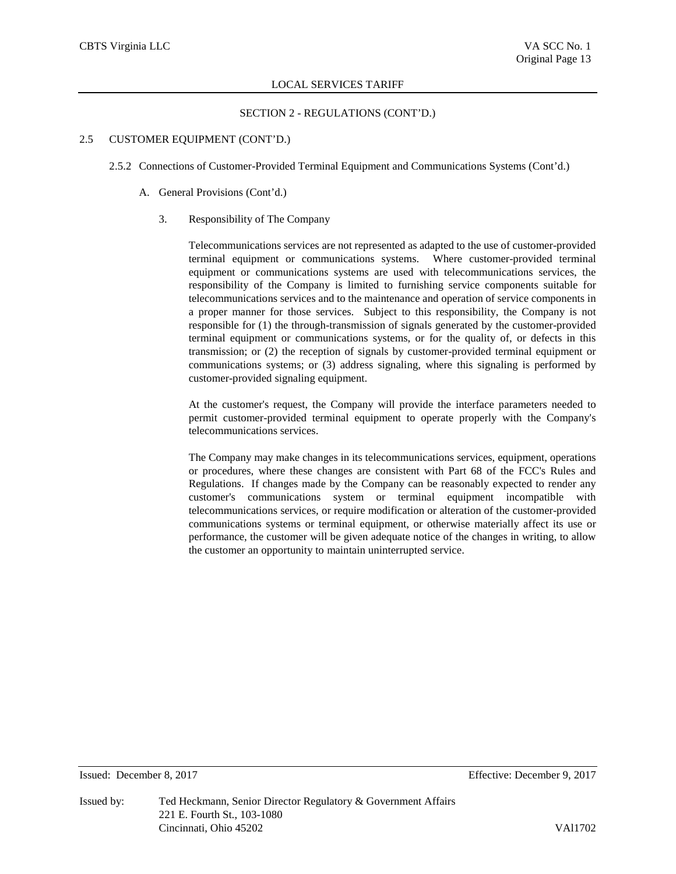# SECTION 2 - REGULATIONS (CONT'D.)

# 2.5 CUSTOMER EQUIPMENT (CONT'D.)

- 2.5.2 Connections of Customer-Provided Terminal Equipment and Communications Systems (Cont'd.)
	- A. General Provisions (Cont'd.)
		- 3. Responsibility of The Company

Telecommunications services are not represented as adapted to the use of customer-provided terminal equipment or communications systems. Where customer-provided terminal equipment or communications systems are used with telecommunications services, the responsibility of the Company is limited to furnishing service components suitable for telecommunications services and to the maintenance and operation of service components in a proper manner for those services. Subject to this responsibility, the Company is not responsible for (1) the through-transmission of signals generated by the customer-provided terminal equipment or communications systems, or for the quality of, or defects in this transmission; or (2) the reception of signals by customer-provided terminal equipment or communications systems; or (3) address signaling, where this signaling is performed by customer-provided signaling equipment.

At the customer's request, the Company will provide the interface parameters needed to permit customer-provided terminal equipment to operate properly with the Company's telecommunications services.

The Company may make changes in its telecommunications services, equipment, operations or procedures, where these changes are consistent with Part 68 of the FCC's Rules and Regulations. If changes made by the Company can be reasonably expected to render any customer's communications system or terminal equipment incompatible with telecommunications services, or require modification or alteration of the customer-provided communications systems or terminal equipment, or otherwise materially affect its use or performance, the customer will be given adequate notice of the changes in writing, to allow the customer an opportunity to maintain uninterrupted service.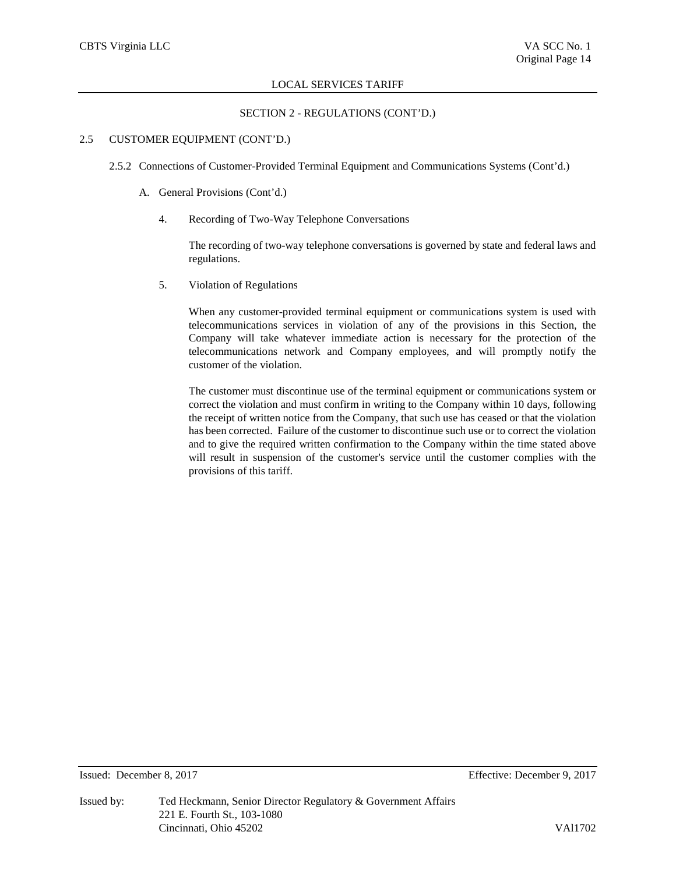# SECTION 2 - REGULATIONS (CONT'D.)

## 2.5 CUSTOMER EQUIPMENT (CONT'D.)

- 2.5.2 Connections of Customer-Provided Terminal Equipment and Communications Systems (Cont'd.)
	- A. General Provisions (Cont'd.)
		- 4. Recording of Two-Way Telephone Conversations

The recording of two-way telephone conversations is governed by state and federal laws and regulations.

5. Violation of Regulations

When any customer-provided terminal equipment or communications system is used with telecommunications services in violation of any of the provisions in this Section, the Company will take whatever immediate action is necessary for the protection of the telecommunications network and Company employees, and will promptly notify the customer of the violation.

The customer must discontinue use of the terminal equipment or communications system or correct the violation and must confirm in writing to the Company within 10 days, following the receipt of written notice from the Company, that such use has ceased or that the violation has been corrected. Failure of the customer to discontinue such use or to correct the violation and to give the required written confirmation to the Company within the time stated above will result in suspension of the customer's service until the customer complies with the provisions of this tariff.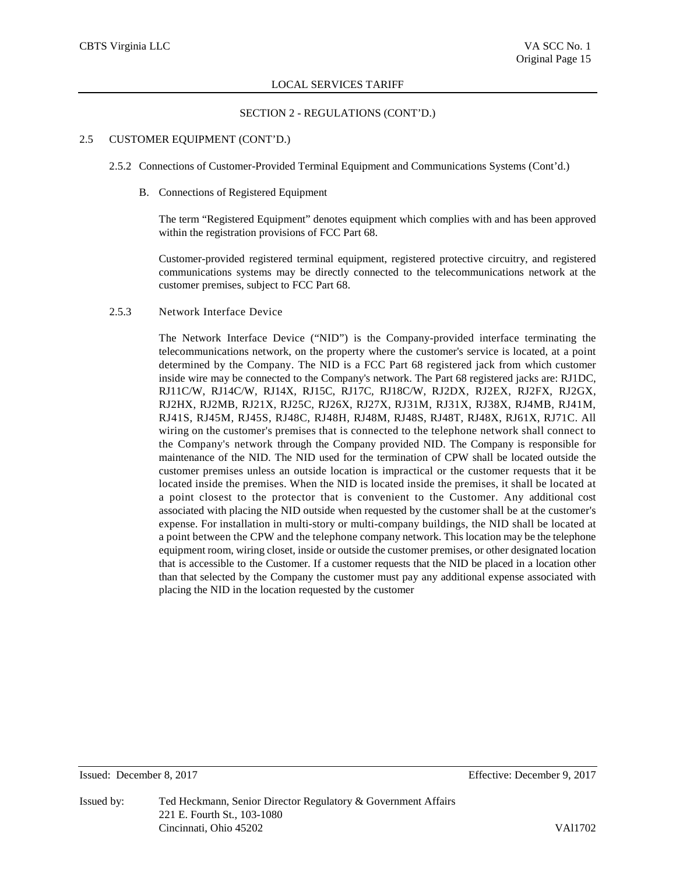## SECTION 2 - REGULATIONS (CONT'D.)

# 2.5 CUSTOMER EQUIPMENT (CONT'D.)

- 2.5.2 Connections of Customer-Provided Terminal Equipment and Communications Systems (Cont'd.)
	- B. Connections of Registered Equipment

The term "Registered Equipment" denotes equipment which complies with and has been approved within the registration provisions of FCC Part 68.

Customer-provided registered terminal equipment, registered protective circuitry, and registered communications systems may be directly connected to the telecommunications network at the customer premises, subject to FCC Part 68.

### 2.5.3 Network Interface Device

The Network Interface Device ("NID") is the Company-provided interface terminating the telecommunications network, on the property where the customer's service is located, at a point determined by the Company. The NID is a FCC Part 68 registered jack from which customer inside wire may be connected to the Company's network. The Part 68 registered jacks are: RJ1DC, RJ11C/W, RJ14C/W, RJ14X, RJ15C, RJ17C, RJ18C/W, RJ2DX, RJ2EX, RJ2FX, RJ2GX, RJ2HX, RJ2MB, RJ21X, RJ25C, RJ26X, RJ27X, RJ31M, RJ31X, RJ38X, RJ4MB, RJ41M, RJ41S, RJ45M, RJ45S, RJ48C, RJ48H, RJ48M, RJ48S, RJ48T, RJ48X, RJ61X, RJ71C. All wiring on the customer's premises that is connected to the telephone network shall connect to the Company's network through the Company provided NID. The Company is responsible for maintenance of the NID. The NID used for the termination of CPW shall be located outside the customer premises unless an outside location is impractical or the customer requests that it be located inside the premises. When the NID is located inside the premises, it shall be located at a point closest to the protector that is convenient to the Customer. Any additional cost associated with placing the NID outside when requested by the customer shall be at the customer's expense. For installation in multi-story or multi-company buildings, the NID shall be located at a point between the CPW and the telephone company network. This location may be the telephone equipment room, wiring closet, inside or outside the customer premises, or other designated location that is accessible to the Customer. If a customer requests that the NID be placed in a location other than that selected by the Company the customer must pay any additional expense associated with placing the NID in the location requested by the customer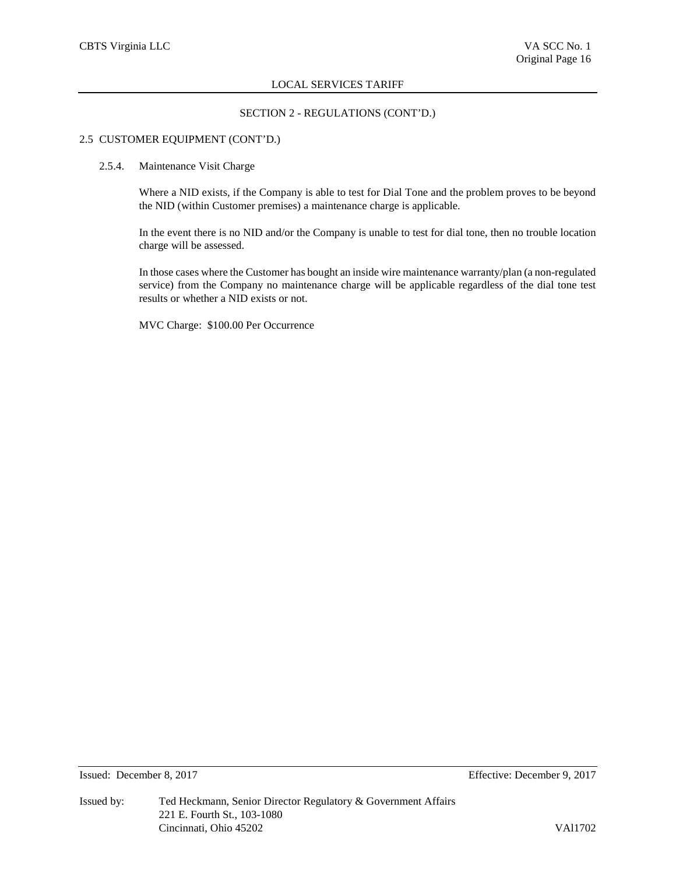# SECTION 2 - REGULATIONS (CONT'D.)

# 2.5 CUSTOMER EQUIPMENT (CONT'D.)

#### 2.5.4. Maintenance Visit Charge

Where a NID exists, if the Company is able to test for Dial Tone and the problem proves to be beyond the NID (within Customer premises) a maintenance charge is applicable.

In the event there is no NID and/or the Company is unable to test for dial tone, then no trouble location charge will be assessed.

In those cases where the Customer has bought an inside wire maintenance warranty/plan (a non-regulated service) from the Company no maintenance charge will be applicable regardless of the dial tone test results or whether a NID exists or not.

MVC Charge: \$100.00 Per Occurrence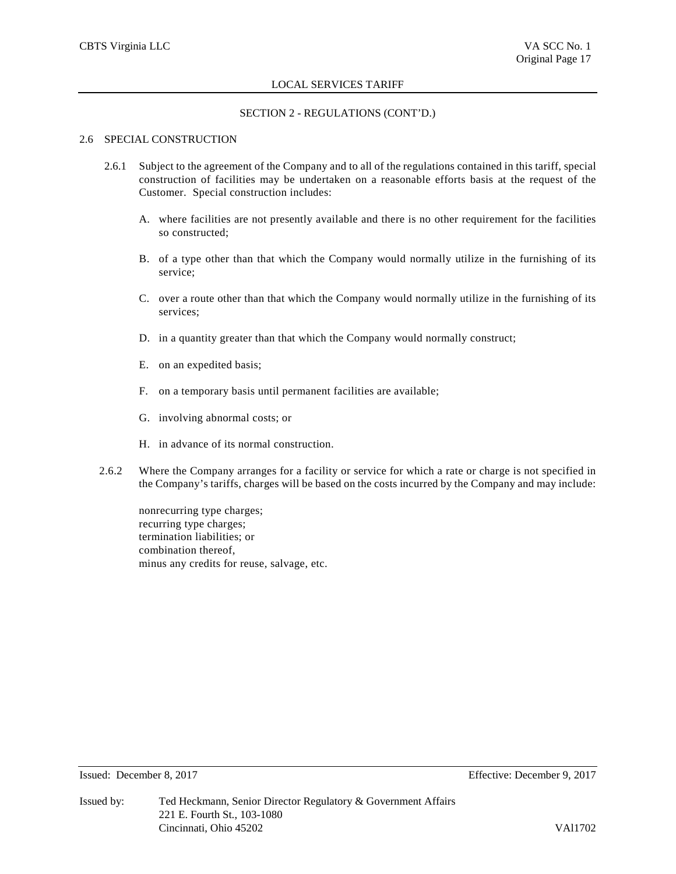## SECTION 2 - REGULATIONS (CONT'D.)

# 2.6 SPECIAL CONSTRUCTION

- 2.6.1 Subject to the agreement of the Company and to all of the regulations contained in this tariff, special construction of facilities may be undertaken on a reasonable efforts basis at the request of the Customer. Special construction includes:
	- A. where facilities are not presently available and there is no other requirement for the facilities so constructed;
	- B. of a type other than that which the Company would normally utilize in the furnishing of its service;
	- C. over a route other than that which the Company would normally utilize in the furnishing of its services;
	- D. in a quantity greater than that which the Company would normally construct;
	- E. on an expedited basis;
	- F. on a temporary basis until permanent facilities are available;
	- G. involving abnormal costs; or
	- H. in advance of its normal construction.
- 2.6.2 Where the Company arranges for a facility or service for which a rate or charge is not specified in the Company's tariffs, charges will be based on the costs incurred by the Company and may include:

nonrecurring type charges; recurring type charges; termination liabilities; or combination thereof, minus any credits for reuse, salvage, etc.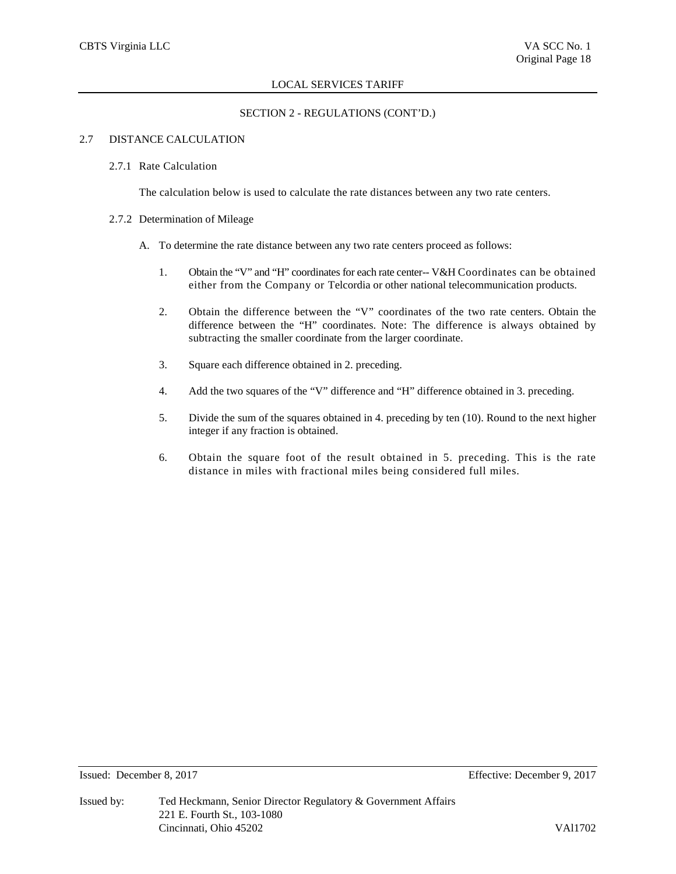# SECTION 2 - REGULATIONS (CONT'D.)

## 2.7 DISTANCE CALCULATION

#### 2.7.1 Rate Calculation

The calculation below is used to calculate the rate distances between any two rate centers.

## 2.7.2 Determination of Mileage

- A. To determine the rate distance between any two rate centers proceed as follows:
	- 1. Obtain the "V" and "H" coordinates for each rate center-- V&H Coordinates can be obtained either from the Company or Telcordia or other national telecommunication products.
	- 2. Obtain the difference between the "V" coordinates of the two rate centers. Obtain the difference between the "H" coordinates. Note: The difference is always obtained by subtracting the smaller coordinate from the larger coordinate.
	- 3. Square each difference obtained in 2. preceding.
	- 4. Add the two squares of the "V" difference and "H" difference obtained in 3. preceding.
	- 5. Divide the sum of the squares obtained in 4. preceding by ten (10). Round to the next higher integer if any fraction is obtained.
	- 6. Obtain the square foot of the result obtained in 5. preceding. This is the rate distance in miles with fractional miles being considered full miles.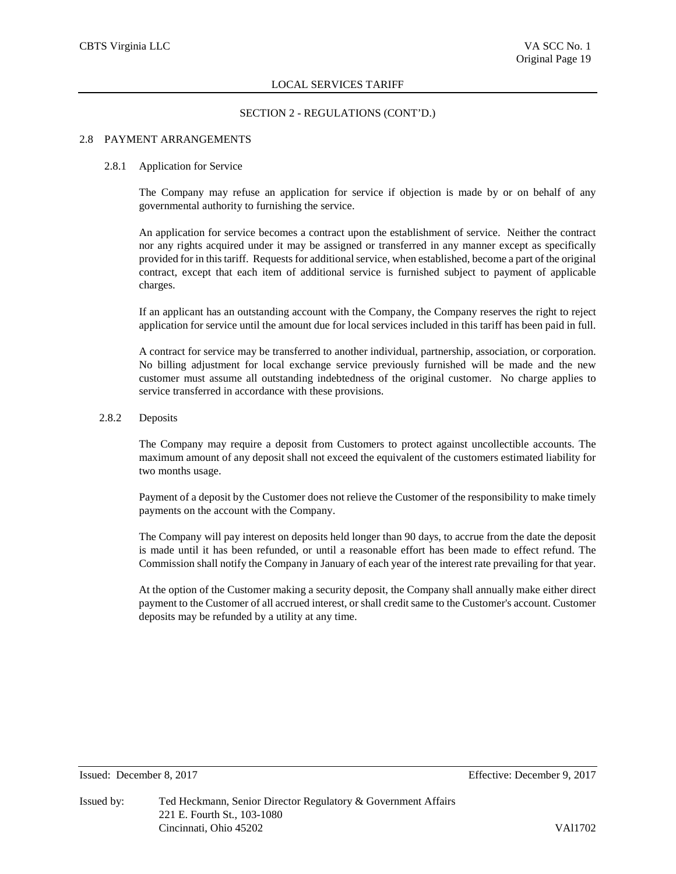## SECTION 2 - REGULATIONS (CONT'D.)

## 2.8 PAYMENT ARRANGEMENTS

#### 2.8.1 Application for Service

The Company may refuse an application for service if objection is made by or on behalf of any governmental authority to furnishing the service.

An application for service becomes a contract upon the establishment of service. Neither the contract nor any rights acquired under it may be assigned or transferred in any manner except as specifically provided for in this tariff. Requests for additional service, when established, become a part of the original contract, except that each item of additional service is furnished subject to payment of applicable charges.

If an applicant has an outstanding account with the Company, the Company reserves the right to reject application for service until the amount due for local services included in this tariff has been paid in full.

A contract for service may be transferred to another individual, partnership, association, or corporation. No billing adjustment for local exchange service previously furnished will be made and the new customer must assume all outstanding indebtedness of the original customer. No charge applies to service transferred in accordance with these provisions.

## 2.8.2 Deposits

The Company may require a deposit from Customers to protect against uncollectible accounts. The maximum amount of any deposit shall not exceed the equivalent of the customers estimated liability for two months usage.

Payment of a deposit by the Customer does not relieve the Customer of the responsibility to make timely payments on the account with the Company.

The Company will pay interest on deposits held longer than 90 days, to accrue from the date the deposit is made until it has been refunded, or until a reasonable effort has been made to effect refund. The Commission shall notify the Company in January of each year of the interest rate prevailing for that year.

At the option of the Customer making a security deposit, the Company shall annually make either direct payment to the Customer of all accrued interest, or shall credit same to the Customer's account. Customer deposits may be refunded by a utility at any time.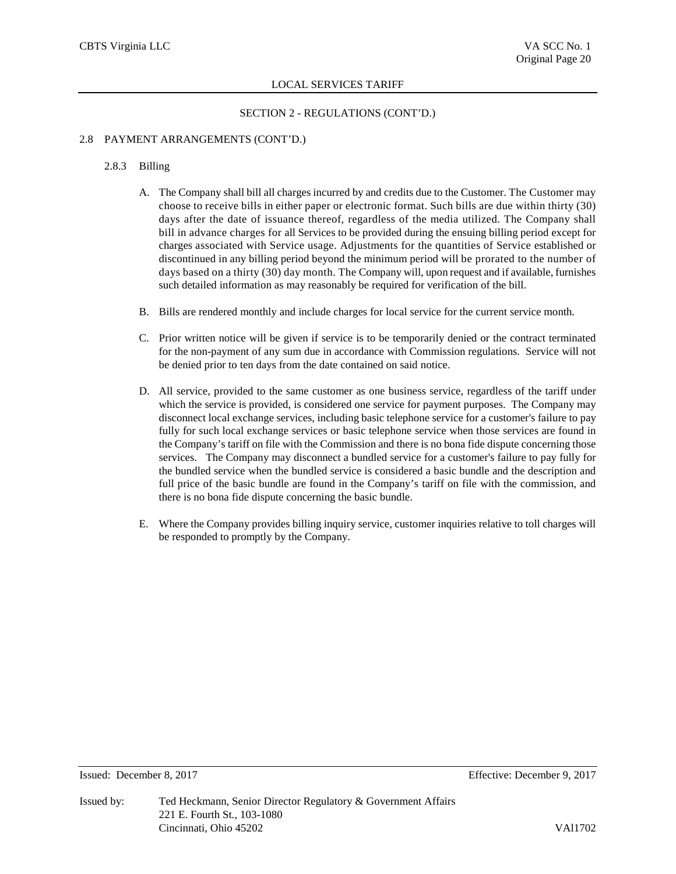# SECTION 2 - REGULATIONS (CONT'D.)

## 2.8 PAYMENT ARRANGEMENTS (CONT'D.)

#### 2.8.3 Billing

- A. The Company shall bill all charges incurred by and credits due to the Customer. The Customer may choose to receive bills in either paper or electronic format. Such bills are due within thirty (30) days after the date of issuance thereof, regardless of the media utilized. The Company shall bill in advance charges for all Services to be provided during the ensuing billing period except for charges associated with Service usage. Adjustments for the quantities of Service established or discontinued in any billing period beyond the minimum period will be prorated to the number of days based on a thirty (30) day month. The Company will, upon request and if available, furnishes such detailed information as may reasonably be required for verification of the bill.
- B. Bills are rendered monthly and include charges for local service for the current service month.
- C. Prior written notice will be given if service is to be temporarily denied or the contract terminated for the non-payment of any sum due in accordance with Commission regulations. Service will not be denied prior to ten days from the date contained on said notice.
- D. All service, provided to the same customer as one business service, regardless of the tariff under which the service is provided, is considered one service for payment purposes. The Company may disconnect local exchange services, including basic telephone service for a customer's failure to pay fully for such local exchange services or basic telephone service when those services are found in the Company's tariff on file with the Commission and there is no bona fide dispute concerning those services. The Company may disconnect a bundled service for a customer's failure to pay fully for the bundled service when the bundled service is considered a basic bundle and the description and full price of the basic bundle are found in the Company's tariff on file with the commission, and there is no bona fide dispute concerning the basic bundle.
- E. Where the Company provides billing inquiry service, customer inquiries relative to toll charges will be responded to promptly by the Company.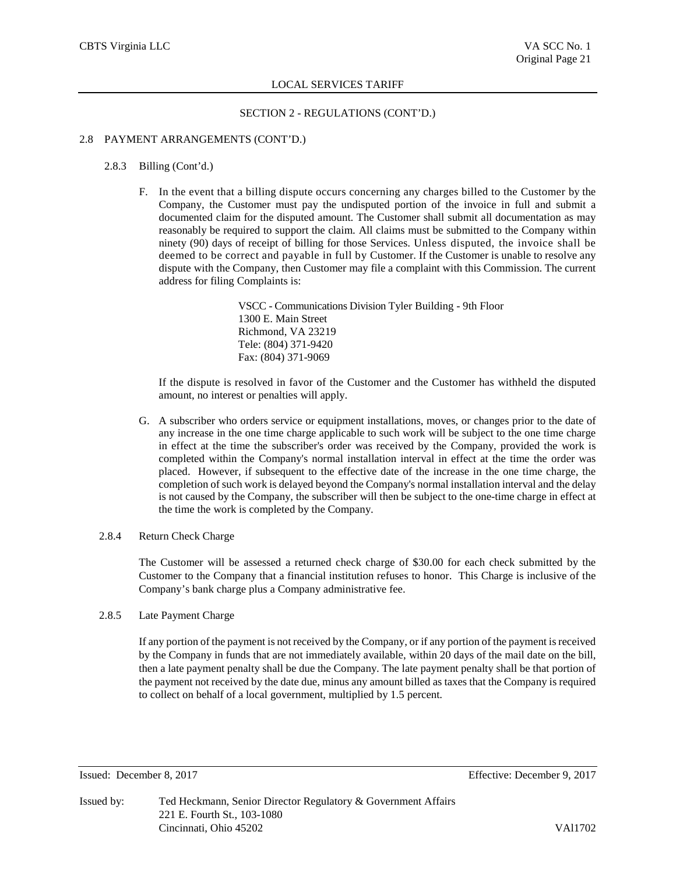## SECTION 2 - REGULATIONS (CONT'D.)

# 2.8 PAYMENT ARRANGEMENTS (CONT'D.)

#### 2.8.3 Billing (Cont'd.)

F. In the event that a billing dispute occurs concerning any charges billed to the Customer by the Company, the Customer must pay the undisputed portion of the invoice in full and submit a documented claim for the disputed amount. The Customer shall submit all documentation as may reasonably be required to support the claim. All claims must be submitted to the Company within ninety (90) days of receipt of billing for those Services. Unless disputed, the invoice shall be deemed to be correct and payable in full by Customer. If the Customer is unable to resolve any dispute with the Company, then Customer may file a complaint with this Commission. The current address for filing Complaints is:

> VSCC - Communications Division Tyler Building - 9th Floor 1300 E. Main Street Richmond, VA 23219 Tele: (804) 371-9420 Fax: (804) 371-9069

If the dispute is resolved in favor of the Customer and the Customer has withheld the disputed amount, no interest or penalties will apply.

G. A subscriber who orders service or equipment installations, moves, or changes prior to the date of any increase in the one time charge applicable to such work will be subject to the one time charge in effect at the time the subscriber's order was received by the Company, provided the work is completed within the Company's normal installation interval in effect at the time the order was placed. However, if subsequent to the effective date of the increase in the one time charge, the completion of such work is delayed beyond the Company's normal installation interval and the delay is not caused by the Company, the subscriber will then be subject to the one-time charge in effect at the time the work is completed by the Company.

# 2.8.4 Return Check Charge

The Customer will be assessed a returned check charge of \$30.00 for each check submitted by the Customer to the Company that a financial institution refuses to honor. This Charge is inclusive of the Company's bank charge plus a Company administrative fee.

# 2.8.5 Late Payment Charge

If any portion of the payment is not received by the Company, or if any portion of the payment is received by the Company in funds that are not immediately available, within 20 days of the mail date on the bill, then a late payment penalty shall be due the Company. The late payment penalty shall be that portion of the payment not received by the date due, minus any amount billed as taxes that the Company is required to collect on behalf of a local government, multiplied by 1.5 percent.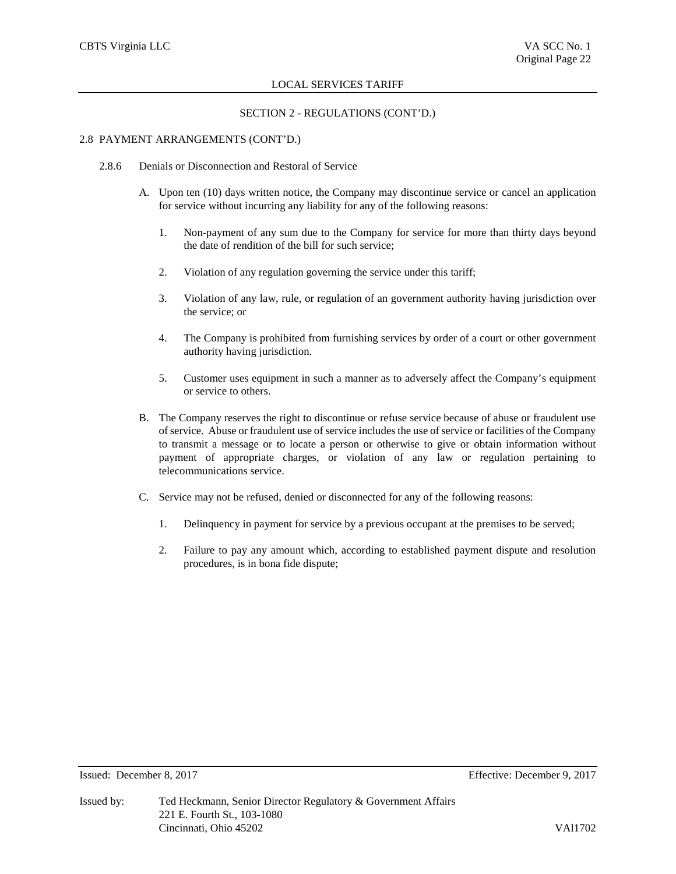# SECTION 2 - REGULATIONS (CONT'D.)

# 2.8 PAYMENT ARRANGEMENTS (CONT'D.)

- 2.8.6 Denials or Disconnection and Restoral of Service
	- A. Upon ten (10) days written notice, the Company may discontinue service or cancel an application for service without incurring any liability for any of the following reasons:
		- 1. Non-payment of any sum due to the Company for service for more than thirty days beyond the date of rendition of the bill for such service;
		- 2. Violation of any regulation governing the service under this tariff;
		- 3. Violation of any law, rule, or regulation of an government authority having jurisdiction over the service; or
		- 4. The Company is prohibited from furnishing services by order of a court or other government authority having jurisdiction.
		- 5. Customer uses equipment in such a manner as to adversely affect the Company's equipment or service to others.
	- B. The Company reserves the right to discontinue or refuse service because of abuse or fraudulent use of service. Abuse or fraudulent use of service includes the use of service or facilities of the Company to transmit a message or to locate a person or otherwise to give or obtain information without payment of appropriate charges, or violation of any law or regulation pertaining to telecommunications service.
	- C. Service may not be refused, denied or disconnected for any of the following reasons:
		- 1. Delinquency in payment for service by a previous occupant at the premises to be served;
		- 2. Failure to pay any amount which, according to established payment dispute and resolution procedures, is in bona fide dispute;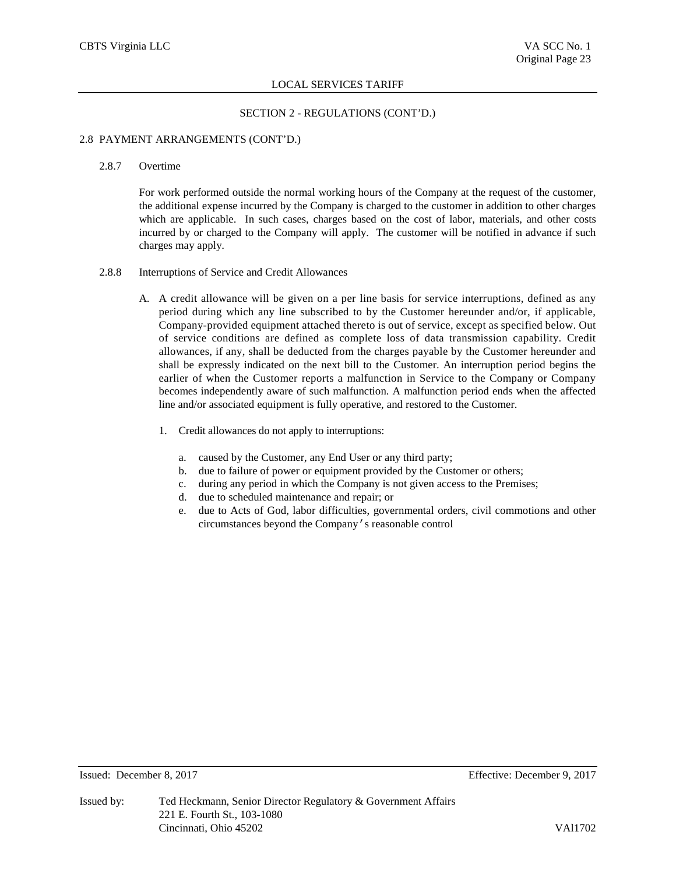## SECTION 2 - REGULATIONS (CONT'D.)

## 2.8 PAYMENT ARRANGEMENTS (CONT'D.)

#### 2.8.7 Overtime

For work performed outside the normal working hours of the Company at the request of the customer, the additional expense incurred by the Company is charged to the customer in addition to other charges which are applicable. In such cases, charges based on the cost of labor, materials, and other costs incurred by or charged to the Company will apply. The customer will be notified in advance if such charges may apply.

# 2.8.8 Interruptions of Service and Credit Allowances

- A. A credit allowance will be given on a per line basis for service interruptions, defined as any period during which any line subscribed to by the Customer hereunder and/or, if applicable, Company-provided equipment attached thereto is out of service, except as specified below. Out of service conditions are defined as complete loss of data transmission capability. Credit allowances, if any, shall be deducted from the charges payable by the Customer hereunder and shall be expressly indicated on the next bill to the Customer. An interruption period begins the earlier of when the Customer reports a malfunction in Service to the Company or Company becomes independently aware of such malfunction. A malfunction period ends when the affected line and/or associated equipment is fully operative, and restored to the Customer.
	- 1. Credit allowances do not apply to interruptions:
		- a. caused by the Customer, any End User or any third party;
		- b. due to failure of power or equipment provided by the Customer or others;
		- c. during any period in which the Company is not given access to the Premises;
		- d. due to scheduled maintenance and repair; or
		- e. due to Acts of God, labor difficulties, governmental orders, civil commotions and other circumstances beyond the Company's reasonable control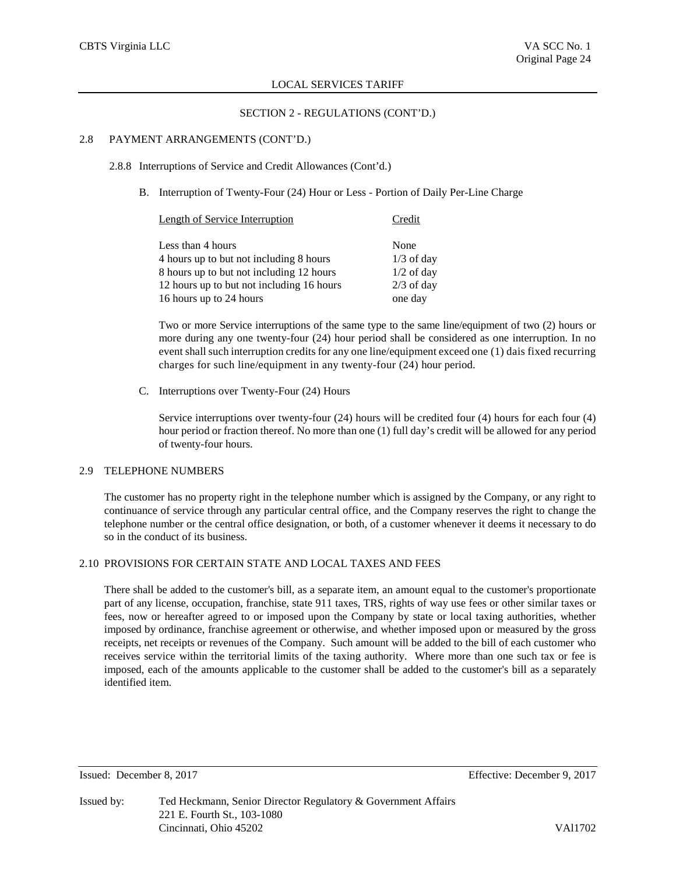## SECTION 2 - REGULATIONS (CONT'D.)

# 2.8 PAYMENT ARRANGEMENTS (CONT'D.)

## 2.8.8 Interruptions of Service and Credit Allowances (Cont'd.)

B. Interruption of Twenty-Four (24) Hour or Less - Portion of Daily Per-Line Charge

| Length of Service Interruption            | Credit       |
|-------------------------------------------|--------------|
| Less than 4 hours                         | None         |
| 4 hours up to but not including 8 hours   | $1/3$ of day |
| 8 hours up to but not including 12 hours  | $1/2$ of day |
| 12 hours up to but not including 16 hours | $2/3$ of day |
| 16 hours up to 24 hours                   | one day      |

Two or more Service interruptions of the same type to the same line/equipment of two (2) hours or more during any one twenty-four (24) hour period shall be considered as one interruption. In no event shall such interruption credits for any one line/equipment exceed one (1) dais fixed recurring charges for such line/equipment in any twenty-four (24) hour period.

C. Interruptions over Twenty-Four (24) Hours

Service interruptions over twenty-four (24) hours will be credited four (4) hours for each four (4) hour period or fraction thereof. No more than one (1) full day's credit will be allowed for any period of twenty-four hours.

# 2.9 TELEPHONE NUMBERS

The customer has no property right in the telephone number which is assigned by the Company, or any right to continuance of service through any particular central office, and the Company reserves the right to change the telephone number or the central office designation, or both, of a customer whenever it deems it necessary to do so in the conduct of its business.

# 2.10 PROVISIONS FOR CERTAIN STATE AND LOCAL TAXES AND FEES

There shall be added to the customer's bill, as a separate item, an amount equal to the customer's proportionate part of any license, occupation, franchise, state 911 taxes, TRS, rights of way use fees or other similar taxes or fees, now or hereafter agreed to or imposed upon the Company by state or local taxing authorities, whether imposed by ordinance, franchise agreement or otherwise, and whether imposed upon or measured by the gross receipts, net receipts or revenues of the Company. Such amount will be added to the bill of each customer who receives service within the territorial limits of the taxing authority. Where more than one such tax or fee is imposed, each of the amounts applicable to the customer shall be added to the customer's bill as a separately identified item.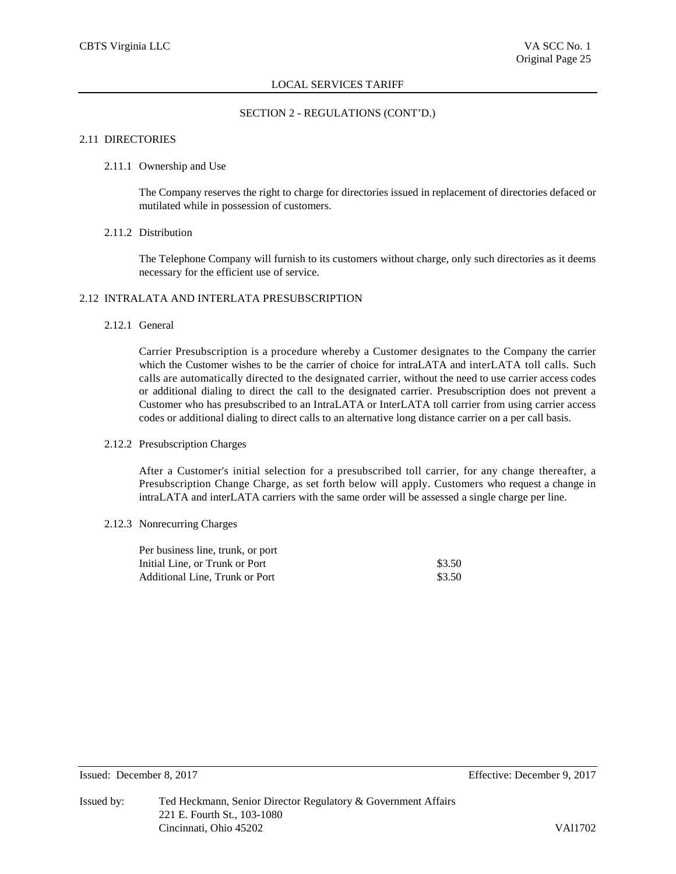# SECTION 2 - REGULATIONS (CONT'D.)

# 2.11 DIRECTORIES

## 2.11.1 Ownership and Use

The Company reserves the right to charge for directories issued in replacement of directories defaced or mutilated while in possession of customers.

## 2.11.2 Distribution

The Telephone Company will furnish to its customers without charge, only such directories as it deems necessary for the efficient use of service.

# 2.12 INTRALATA AND INTERLATA PRESUBSCRIPTION

# 2.12.1 General

Carrier Presubscription is a procedure whereby a Customer designates to the Company the carrier which the Customer wishes to be the carrier of choice for intraLATA and interLATA toll calls. Such calls are automatically directed to the designated carrier, without the need to use carrier access codes or additional dialing to direct the call to the designated carrier. Presubscription does not prevent a Customer who has presubscribed to an IntraLATA or InterLATA toll carrier from using carrier access codes or additional dialing to direct calls to an alternative long distance carrier on a per call basis.

# 2.12.2 Presubscription Charges

After a Customer's initial selection for a presubscribed toll carrier, for any change thereafter, a Presubscription Change Charge, as set forth below will apply. Customers who request a change in intraLATA and interLATA carriers with the same order will be assessed a single charge per line.

## 2.12.3 Nonrecurring Charges

| Per business line, trunk, or port |        |
|-----------------------------------|--------|
| Initial Line, or Trunk or Port    | \$3.50 |
| Additional Line. Trunk or Port    | \$3.50 |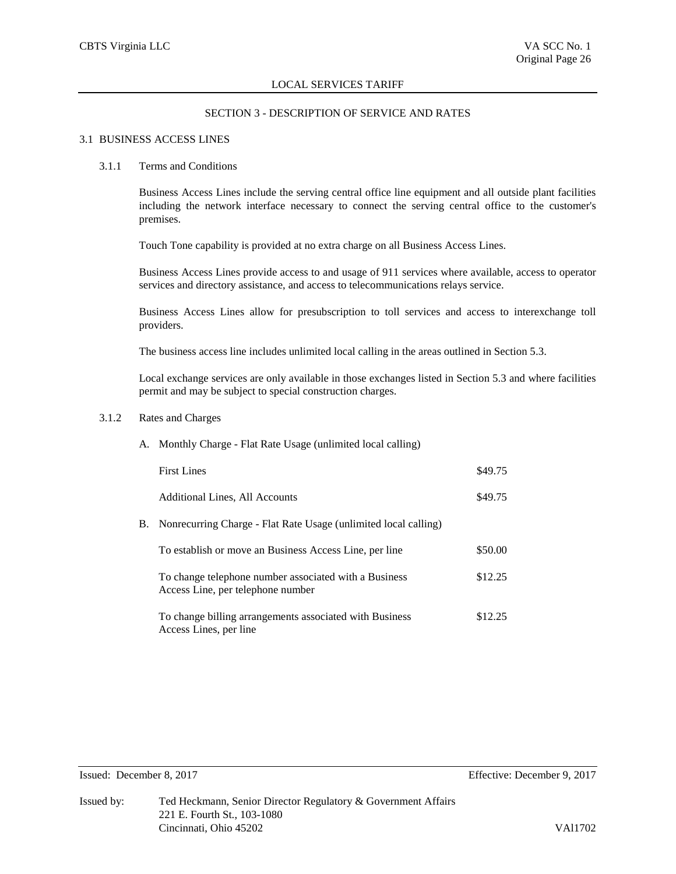#### SECTION 3 - DESCRIPTION OF SERVICE AND RATES

#### 3.1 BUSINESS ACCESS LINES

#### 3.1.1 Terms and Conditions

Business Access Lines include the serving central office line equipment and all outside plant facilities including the network interface necessary to connect the serving central office to the customer's premises.

Touch Tone capability is provided at no extra charge on all Business Access Lines.

Business Access Lines provide access to and usage of 911 services where available, access to operator services and directory assistance, and access to telecommunications relays service.

Business Access Lines allow for presubscription to toll services and access to interexchange toll providers.

The business access line includes unlimited local calling in the areas outlined in Section 5.3.

Local exchange services are only available in those exchanges listed in Section 5.3 and where facilities permit and may be subject to special construction charges.

# 3.1.2 Rates and Charges

A. Monthly Charge - Flat Rate Usage (unlimited local calling)

|    | <b>First Lines</b>                                                                         | \$49.75 |
|----|--------------------------------------------------------------------------------------------|---------|
|    | Additional Lines, All Accounts                                                             | \$49.75 |
| В. | Nonrecurring Charge - Flat Rate Usage (unlimited local calling)                            |         |
|    | To establish or move an Business Access Line, per line                                     | \$50.00 |
|    | To change telephone number associated with a Business<br>Access Line, per telephone number | \$12.25 |
|    | To change billing arrangements associated with Business<br>Access Lines, per line          | \$12.25 |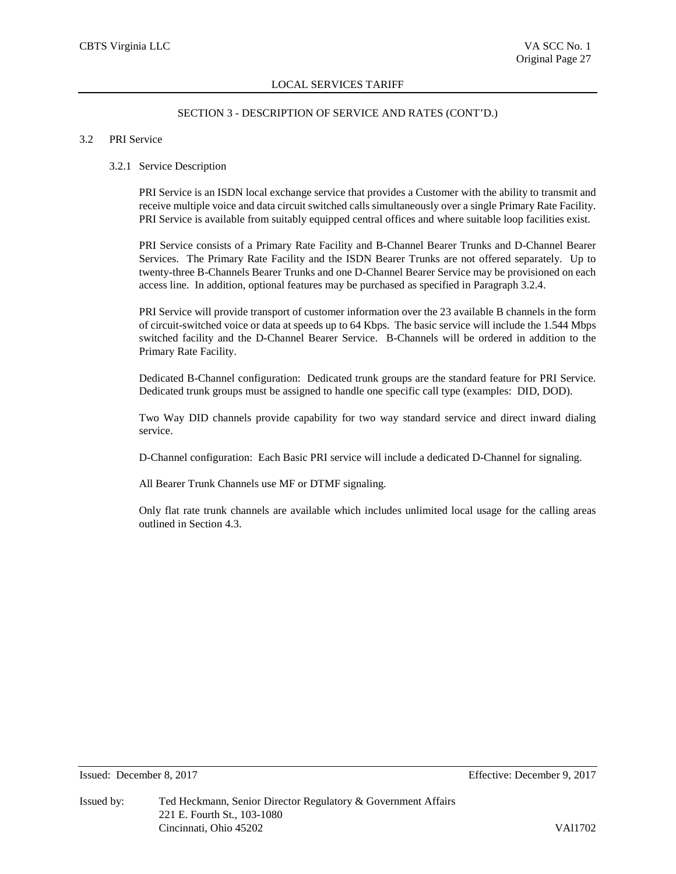#### SECTION 3 - DESCRIPTION OF SERVICE AND RATES (CONT'D.)

#### 3.2 PRI Service

#### 3.2.1 Service Description

PRI Service is an ISDN local exchange service that provides a Customer with the ability to transmit and receive multiple voice and data circuit switched calls simultaneously over a single Primary Rate Facility. PRI Service is available from suitably equipped central offices and where suitable loop facilities exist.

PRI Service consists of a Primary Rate Facility and B-Channel Bearer Trunks and D-Channel Bearer Services. The Primary Rate Facility and the ISDN Bearer Trunks are not offered separately. Up to twenty-three B-Channels Bearer Trunks and one D-Channel Bearer Service may be provisioned on each access line. In addition, optional features may be purchased as specified in Paragraph 3.2.4.

PRI Service will provide transport of customer information over the 23 available B channels in the form of circuit-switched voice or data at speeds up to 64 Kbps. The basic service will include the 1.544 Mbps switched facility and the D-Channel Bearer Service. B-Channels will be ordered in addition to the Primary Rate Facility.

Dedicated B-Channel configuration: Dedicated trunk groups are the standard feature for PRI Service. Dedicated trunk groups must be assigned to handle one specific call type (examples: DID, DOD).

Two Way DID channels provide capability for two way standard service and direct inward dialing service.

D-Channel configuration: Each Basic PRI service will include a dedicated D-Channel for signaling.

All Bearer Trunk Channels use MF or DTMF signaling.

Only flat rate trunk channels are available which includes unlimited local usage for the calling areas outlined in Section 4.3.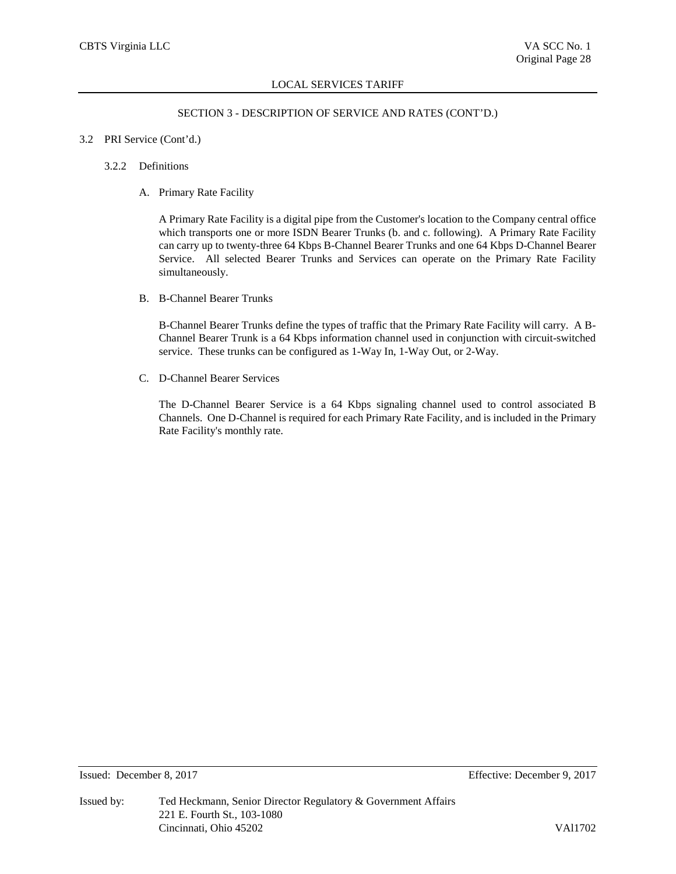# SECTION 3 - DESCRIPTION OF SERVICE AND RATES (CONT'D.)

## 3.2 PRI Service (Cont'd.)

## 3.2.2 Definitions

A. Primary Rate Facility

A Primary Rate Facility is a digital pipe from the Customer's location to the Company central office which transports one or more ISDN Bearer Trunks (b. and c. following). A Primary Rate Facility can carry up to twenty-three 64 Kbps B-Channel Bearer Trunks and one 64 Kbps D-Channel Bearer Service. All selected Bearer Trunks and Services can operate on the Primary Rate Facility simultaneously.

B. B-Channel Bearer Trunks

B-Channel Bearer Trunks define the types of traffic that the Primary Rate Facility will carry. A B-Channel Bearer Trunk is a 64 Kbps information channel used in conjunction with circuit-switched service. These trunks can be configured as 1-Way In, 1-Way Out, or 2-Way.

C. D-Channel Bearer Services

The D-Channel Bearer Service is a 64 Kbps signaling channel used to control associated B Channels. One D-Channel is required for each Primary Rate Facility, and is included in the Primary Rate Facility's monthly rate.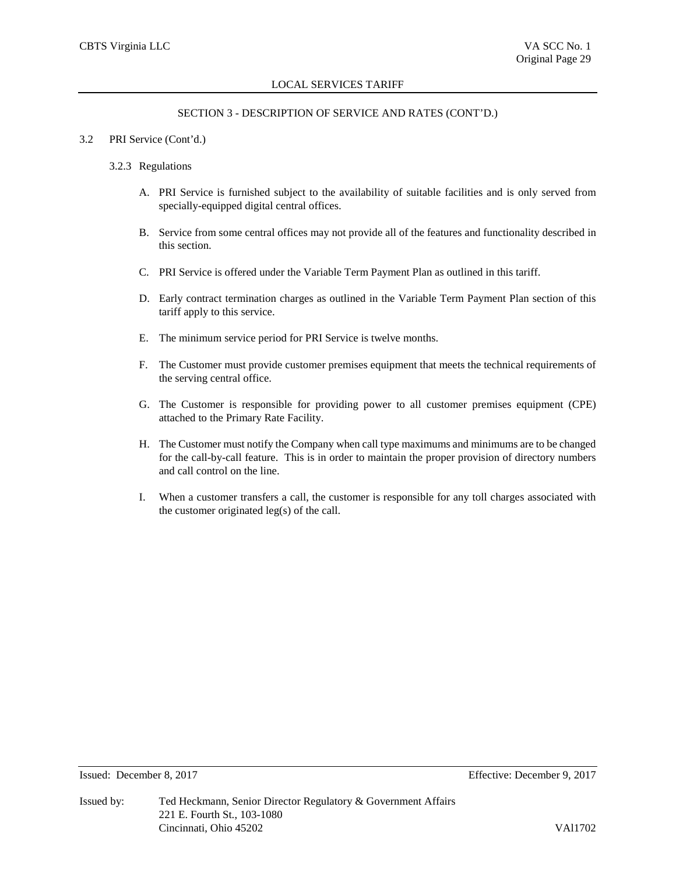# SECTION 3 - DESCRIPTION OF SERVICE AND RATES (CONT'D.)

#### 3.2 PRI Service (Cont'd.)

#### 3.2.3 Regulations

- A. PRI Service is furnished subject to the availability of suitable facilities and is only served from specially-equipped digital central offices.
- B. Service from some central offices may not provide all of the features and functionality described in this section.
- C. PRI Service is offered under the Variable Term Payment Plan as outlined in this tariff.
- D. Early contract termination charges as outlined in the Variable Term Payment Plan section of this tariff apply to this service.
- E. The minimum service period for PRI Service is twelve months.
- F. The Customer must provide customer premises equipment that meets the technical requirements of the serving central office.
- G. The Customer is responsible for providing power to all customer premises equipment (CPE) attached to the Primary Rate Facility.
- H. The Customer must notify the Company when call type maximums and minimums are to be changed for the call-by-call feature. This is in order to maintain the proper provision of directory numbers and call control on the line.
- I. When a customer transfers a call, the customer is responsible for any toll charges associated with the customer originated leg(s) of the call.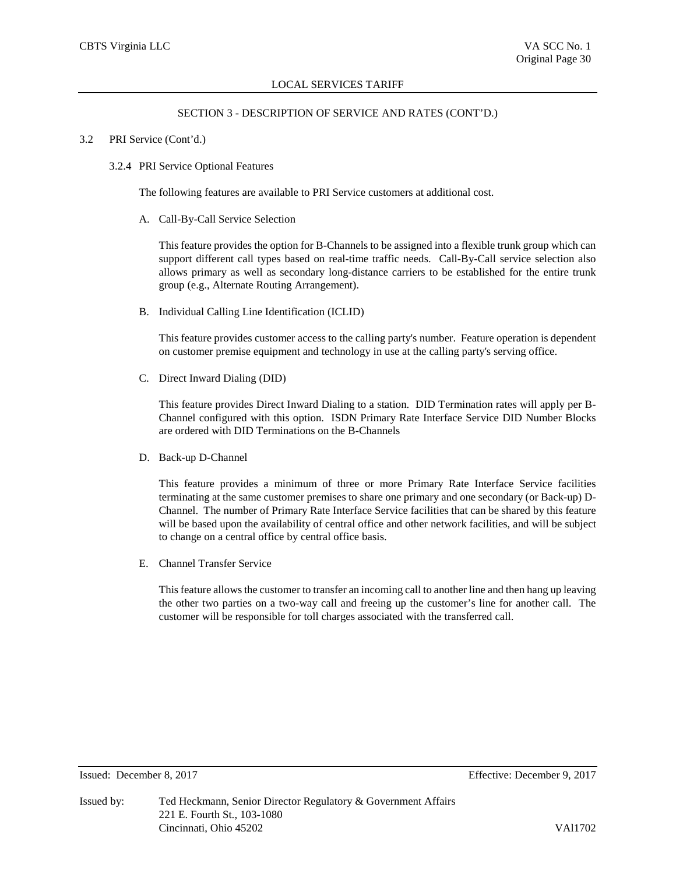#### SECTION 3 - DESCRIPTION OF SERVICE AND RATES (CONT'D.)

#### 3.2 PRI Service (Cont'd.)

#### 3.2.4 PRI Service Optional Features

The following features are available to PRI Service customers at additional cost.

A. Call-By-Call Service Selection

This feature provides the option for B-Channels to be assigned into a flexible trunk group which can support different call types based on real-time traffic needs. Call-By-Call service selection also allows primary as well as secondary long-distance carriers to be established for the entire trunk group (e.g., Alternate Routing Arrangement).

B. Individual Calling Line Identification (ICLID)

This feature provides customer access to the calling party's number. Feature operation is dependent on customer premise equipment and technology in use at the calling party's serving office.

C. Direct Inward Dialing (DID)

This feature provides Direct Inward Dialing to a station. DID Termination rates will apply per B-Channel configured with this option. ISDN Primary Rate Interface Service DID Number Blocks are ordered with DID Terminations on the B-Channels

D. Back-up D-Channel

This feature provides a minimum of three or more Primary Rate Interface Service facilities terminating at the same customer premises to share one primary and one secondary (or Back-up) D-Channel. The number of Primary Rate Interface Service facilities that can be shared by this feature will be based upon the availability of central office and other network facilities, and will be subject to change on a central office by central office basis.

E. Channel Transfer Service

This feature allows the customer to transfer an incoming call to another line and then hang up leaving the other two parties on a two-way call and freeing up the customer's line for another call. The customer will be responsible for toll charges associated with the transferred call.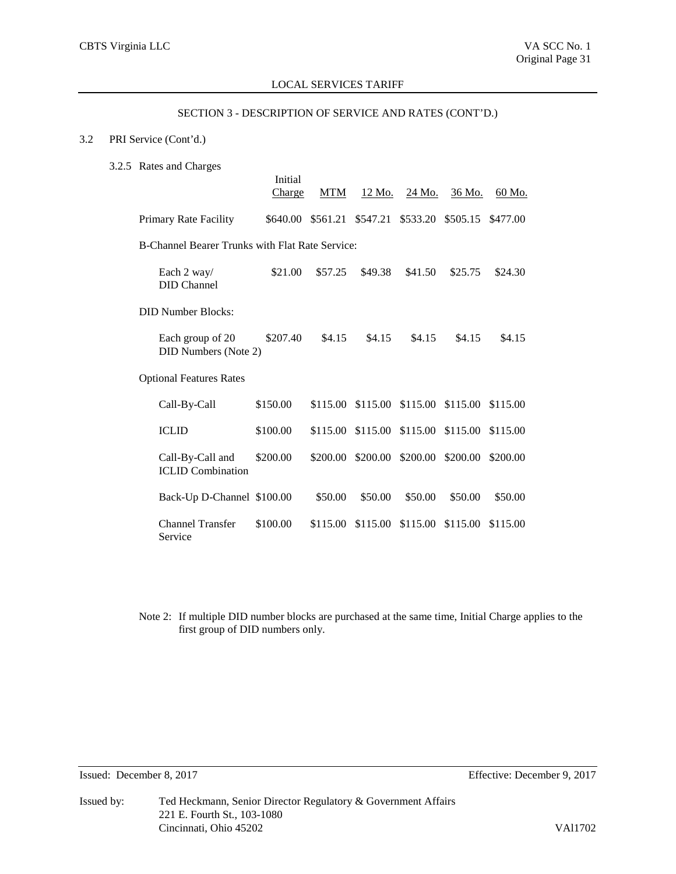# SECTION 3 - DESCRIPTION OF SERVICE AND RATES (CONT'D.)

# 3.2 PRI Service (Cont'd.)

3.2.5 Rates and Charges

|                                                        | Initial<br>Charge | <b>MTM</b> | 12 Mo.            | 24 Mo.                              | 36 Mo.   | 60 Mo.   |
|--------------------------------------------------------|-------------------|------------|-------------------|-------------------------------------|----------|----------|
| Primary Rate Facility                                  | \$640.00          |            | \$561.21 \$547.21 | \$533.20                            | \$505.15 | \$477.00 |
| <b>B-Channel Bearer Trunks with Flat Rate Service:</b> |                   |            |                   |                                     |          |          |
| Each 2 way/<br><b>DID</b> Channel                      | \$21.00           | \$57.25    | \$49.38           | \$41.50                             | \$25.75  | \$24.30  |
| <b>DID Number Blocks:</b>                              |                   |            |                   |                                     |          |          |
| Each group of 20<br><b>DID Numbers (Note 2)</b>        | \$207.40          | \$4.15     | \$4.15            | \$4.15                              | \$4.15   | \$4.15   |
| <b>Optional Features Rates</b>                         |                   |            |                   |                                     |          |          |
| Call-By-Call                                           | \$150.00          |            | \$115.00 \$115.00 | \$115.00 \$115.00                   |          | \$115.00 |
| <b>ICLID</b>                                           | \$100.00          |            |                   | \$115.00 \$115.00 \$115.00 \$115.00 |          | \$115.00 |
| Call-By-Call and<br><b>ICLID</b> Combination           | \$200.00          | \$200.00   | \$200.00          | \$200.00                            | \$200.00 | \$200.00 |
| Back-Up D-Channel \$100.00                             |                   | \$50.00    | \$50.00           | \$50.00                             | \$50.00  | \$50.00  |
| <b>Channel Transfer</b><br>Service                     | \$100.00          | \$115.00   | \$115.00          | \$115.00                            | \$115.00 | \$115.00 |

Note 2: If multiple DID number blocks are purchased at the same time, Initial Charge applies to the first group of DID numbers only.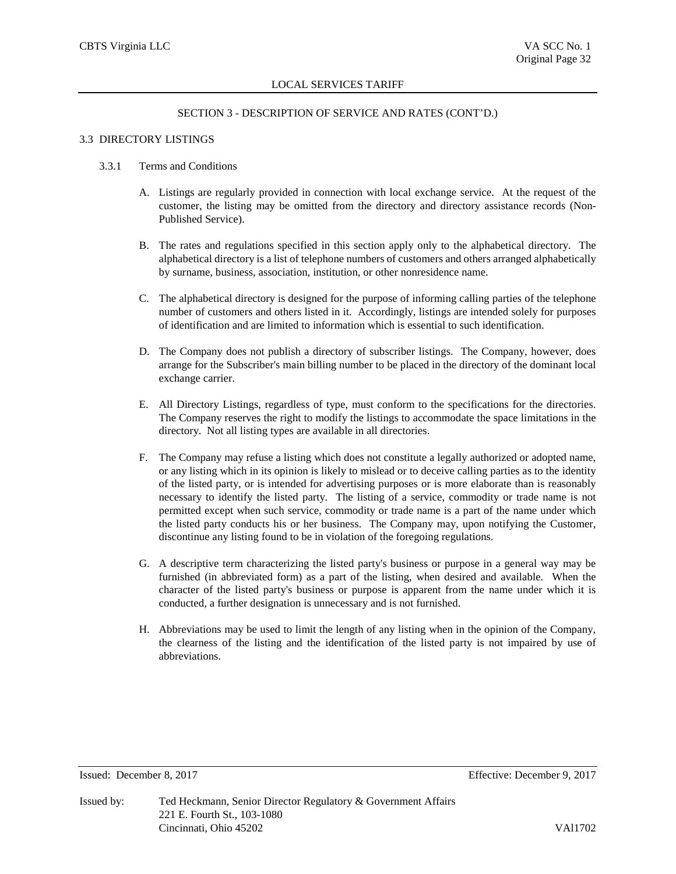## SECTION 3 - DESCRIPTION OF SERVICE AND RATES (CONT'D.)

#### 3.3 DIRECTORY LISTINGS

#### 3.3.1 Terms and Conditions

- A. Listings are regularly provided in connection with local exchange service. At the request of the customer, the listing may be omitted from the directory and directory assistance records (Non-Published Service).
- B. The rates and regulations specified in this section apply only to the alphabetical directory. The alphabetical directory is a list of telephone numbers of customers and others arranged alphabetically by surname, business, association, institution, or other nonresidence name.
- C. The alphabetical directory is designed for the purpose of informing calling parties of the telephone number of customers and others listed in it. Accordingly, listings are intended solely for purposes of identification and are limited to information which is essential to such identification.
- D. The Company does not publish a directory of subscriber listings. The Company, however, does arrange for the Subscriber's main billing number to be placed in the directory of the dominant local exchange carrier.
- E. All Directory Listings, regardless of type, must conform to the specifications for the directories. The Company reserves the right to modify the listings to accommodate the space limitations in the directory. Not all listing types are available in all directories.
- F. The Company may refuse a listing which does not constitute a legally authorized or adopted name, or any listing which in its opinion is likely to mislead or to deceive calling parties as to the identity of the listed party, or is intended for advertising purposes or is more elaborate than is reasonably necessary to identify the listed party. The listing of a service, commodity or trade name is not permitted except when such service, commodity or trade name is a part of the name under which the listed party conducts his or her business. The Company may, upon notifying the Customer, discontinue any listing found to be in violation of the foregoing regulations.
- G. A descriptive term characterizing the listed party's business or purpose in a general way may be furnished (in abbreviated form) as a part of the listing, when desired and available. When the character of the listed party's business or purpose is apparent from the name under which it is conducted, a further designation is unnecessary and is not furnished.
- H. Abbreviations may be used to limit the length of any listing when in the opinion of the Company, the clearness of the listing and the identification of the listed party is not impaired by use of abbreviations.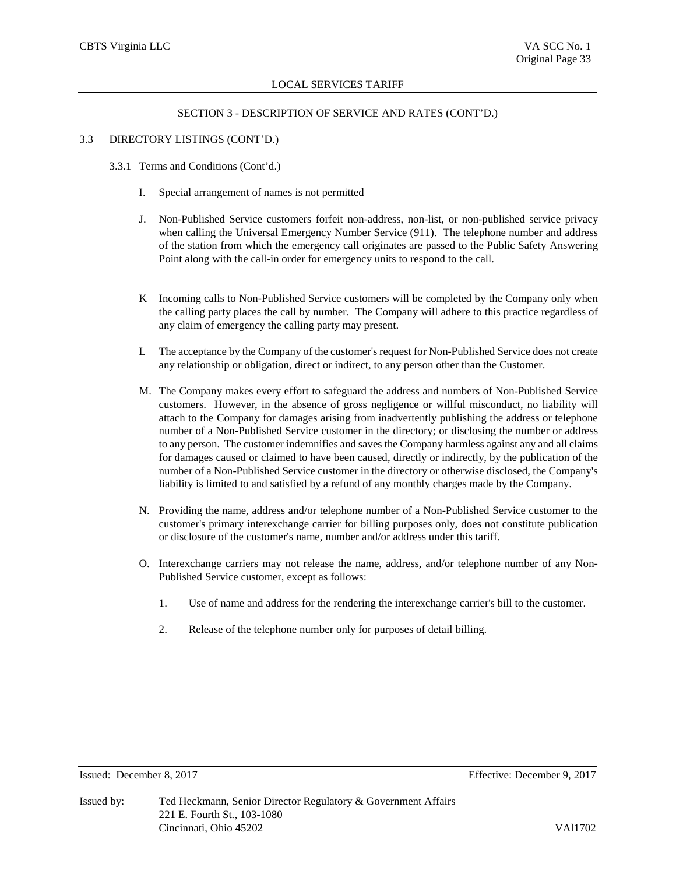## SECTION 3 - DESCRIPTION OF SERVICE AND RATES (CONT'D.)

#### 3.3 DIRECTORY LISTINGS (CONT'D.)

- 3.3.1 Terms and Conditions (Cont'd.)
	- I. Special arrangement of names is not permitted
	- J. Non-Published Service customers forfeit non-address, non-list, or non-published service privacy when calling the Universal Emergency Number Service (911). The telephone number and address of the station from which the emergency call originates are passed to the Public Safety Answering Point along with the call-in order for emergency units to respond to the call.
	- K Incoming calls to Non-Published Service customers will be completed by the Company only when the calling party places the call by number. The Company will adhere to this practice regardless of any claim of emergency the calling party may present.
	- L The acceptance by the Company of the customer's request for Non-Published Service does not create any relationship or obligation, direct or indirect, to any person other than the Customer.
	- M. The Company makes every effort to safeguard the address and numbers of Non-Published Service customers. However, in the absence of gross negligence or willful misconduct, no liability will attach to the Company for damages arising from inadvertently publishing the address or telephone number of a Non-Published Service customer in the directory; or disclosing the number or address to any person. The customer indemnifies and saves the Company harmless against any and all claims for damages caused or claimed to have been caused, directly or indirectly, by the publication of the number of a Non-Published Service customer in the directory or otherwise disclosed, the Company's liability is limited to and satisfied by a refund of any monthly charges made by the Company.
	- N. Providing the name, address and/or telephone number of a Non-Published Service customer to the customer's primary interexchange carrier for billing purposes only, does not constitute publication or disclosure of the customer's name, number and/or address under this tariff.
	- O. Interexchange carriers may not release the name, address, and/or telephone number of any Non-Published Service customer, except as follows:
		- 1. Use of name and address for the rendering the interexchange carrier's bill to the customer.
		- 2. Release of the telephone number only for purposes of detail billing.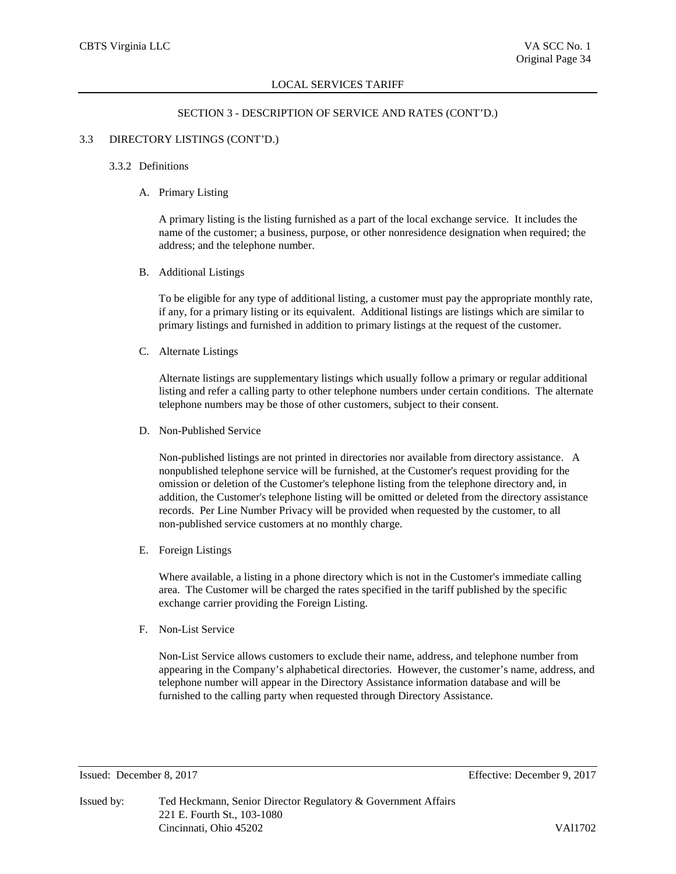## SECTION 3 - DESCRIPTION OF SERVICE AND RATES (CONT'D.)

# 3.3 DIRECTORY LISTINGS (CONT'D.)

#### 3.3.2 Definitions

## A. Primary Listing

A primary listing is the listing furnished as a part of the local exchange service. It includes the name of the customer; a business, purpose, or other nonresidence designation when required; the address; and the telephone number.

# B. Additional Listings

To be eligible for any type of additional listing, a customer must pay the appropriate monthly rate, if any, for a primary listing or its equivalent. Additional listings are listings which are similar to primary listings and furnished in addition to primary listings at the request of the customer.

#### C. Alternate Listings

Alternate listings are supplementary listings which usually follow a primary or regular additional listing and refer a calling party to other telephone numbers under certain conditions. The alternate telephone numbers may be those of other customers, subject to their consent.

D. Non-Published Service

Non-published listings are not printed in directories nor available from directory assistance. A nonpublished telephone service will be furnished, at the Customer's request providing for the omission or deletion of the Customer's telephone listing from the telephone directory and, in addition, the Customer's telephone listing will be omitted or deleted from the directory assistance records. Per Line Number Privacy will be provided when requested by the customer, to all non-published service customers at no monthly charge.

E. Foreign Listings

Where available, a listing in a phone directory which is not in the Customer's immediate calling area. The Customer will be charged the rates specified in the tariff published by the specific exchange carrier providing the Foreign Listing.

F. Non-List Service

Non-List Service allows customers to exclude their name, address, and telephone number from appearing in the Company's alphabetical directories. However, the customer's name, address, and telephone number will appear in the Directory Assistance information database and will be furnished to the calling party when requested through Directory Assistance.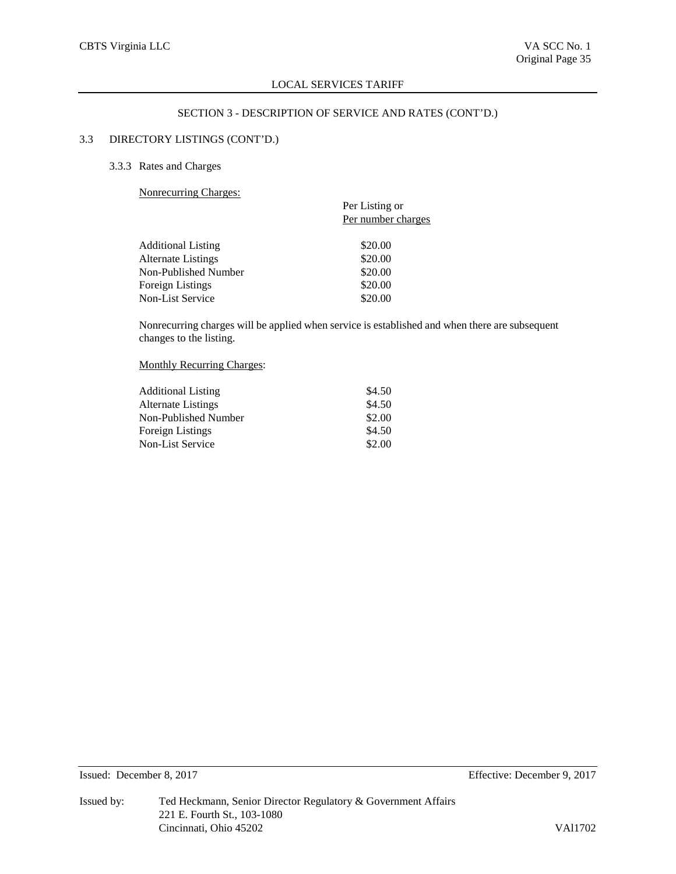# SECTION 3 - DESCRIPTION OF SERVICE AND RATES (CONT'D.)

# 3.3 DIRECTORY LISTINGS (CONT'D.)

# 3.3.3 Rates and Charges

Nonrecurring Charges:

| $\ldots$                  |                    |
|---------------------------|--------------------|
|                           | Per Listing or     |
|                           | Per number charges |
| <b>Additional Listing</b> | \$20.00            |
| Alternate Listings        | \$20.00            |
| Non-Published Number      | \$20.00            |
| Foreign Listings          | \$20.00            |
| Non-List Service          | \$20.00            |
|                           |                    |

Nonrecurring charges will be applied when service is established and when there are subsequent changes to the listing.

# Monthly Recurring Charges:

| <b>Additional Listing</b> | \$4.50 |
|---------------------------|--------|
| <b>Alternate Listings</b> | \$4.50 |
| Non-Published Number      | \$2.00 |
| Foreign Listings          | \$4.50 |
| <b>Non-List Service</b>   | \$2.00 |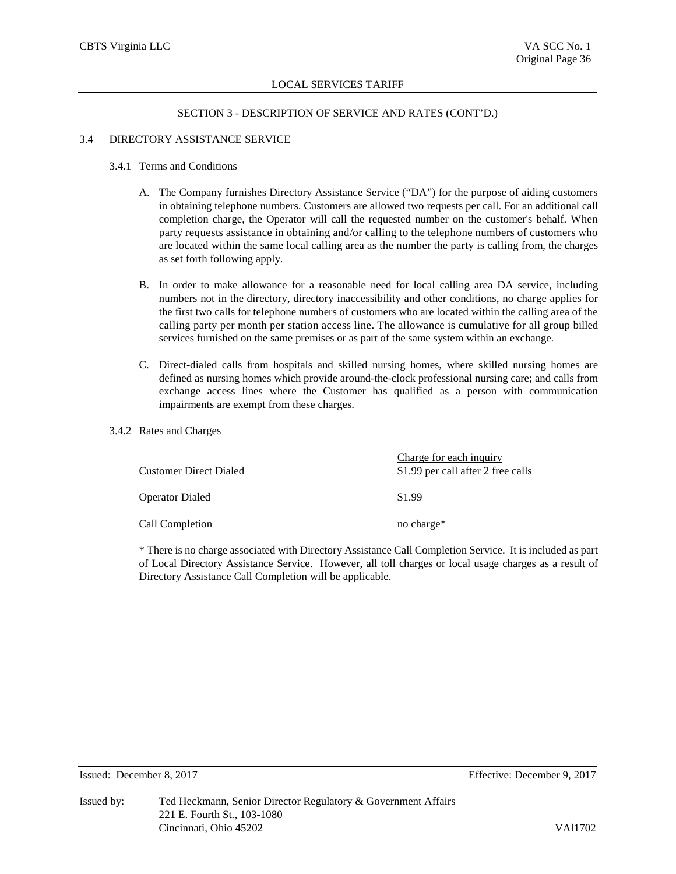# SECTION 3 - DESCRIPTION OF SERVICE AND RATES (CONT'D.)

# 3.4 DIRECTORY ASSISTANCE SERVICE

## 3.4.1 Terms and Conditions

- A. The Company furnishes Directory Assistance Service ("DA") for the purpose of aiding customers in obtaining telephone numbers. Customers are allowed two requests per call. For an additional call completion charge, the Operator will call the requested number on the customer's behalf. When party requests assistance in obtaining and/or calling to the telephone numbers of customers who are located within the same local calling area as the number the party is calling from, the charges as set forth following apply.
- B. In order to make allowance for a reasonable need for local calling area DA service, including numbers not in the directory, directory inaccessibility and other conditions, no charge applies for the first two calls for telephone numbers of customers who are located within the calling area of the calling party per month per station access line. The allowance is cumulative for all group billed services furnished on the same premises or as part of the same system within an exchange.
- C. Direct-dialed calls from hospitals and skilled nursing homes, where skilled nursing homes are defined as nursing homes which provide around-the-clock professional nursing care; and calls from exchange access lines where the Customer has qualified as a person with communication impairments are exempt from these charges.

# 3.4.2 Rates and Charges

| <b>Customer Direct Dialed</b> | Charge for each inquiry<br>\$1.99 per call after 2 free calls |
|-------------------------------|---------------------------------------------------------------|
| <b>Operator Dialed</b>        | \$1.99                                                        |
| Call Completion               | no charge*                                                    |

\* There is no charge associated with Directory Assistance Call Completion Service. It is included as part of Local Directory Assistance Service. However, all toll charges or local usage charges as a result of Directory Assistance Call Completion will be applicable.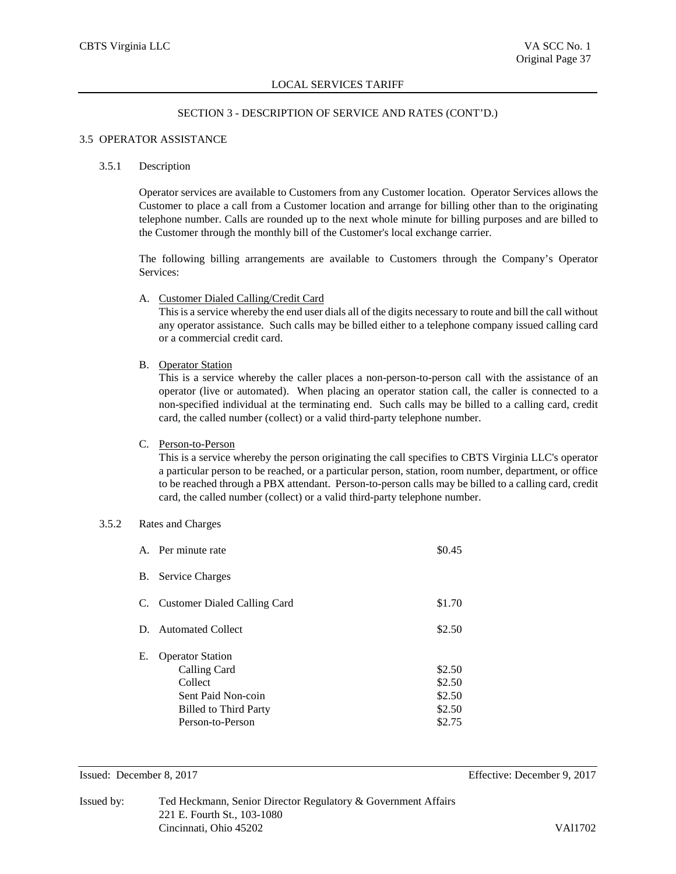# SECTION 3 - DESCRIPTION OF SERVICE AND RATES (CONT'D.)

#### 3.5 OPERATOR ASSISTANCE

#### 3.5.1 Description

Operator services are available to Customers from any Customer location. Operator Services allows the Customer to place a call from a Customer location and arrange for billing other than to the originating telephone number. Calls are rounded up to the next whole minute for billing purposes and are billed to the Customer through the monthly bill of the Customer's local exchange carrier.

The following billing arrangements are available to Customers through the Company's Operator Services:

A. Customer Dialed Calling/Credit Card

This is a service whereby the end user dials all of the digits necessary to route and bill the call without any operator assistance. Such calls may be billed either to a telephone company issued calling card or a commercial credit card.

B. Operator Station

This is a service whereby the caller places a non-person-to-person call with the assistance of an operator (live or automated). When placing an operator station call, the caller is connected to a non-specified individual at the terminating end. Such calls may be billed to a calling card, credit card, the called number (collect) or a valid third-party telephone number.

C. Person-to-Person

This is a service whereby the person originating the call specifies to CBTS Virginia LLC's operator a particular person to be reached, or a particular person, station, room number, department, or office to be reached through a PBX attendant. Person-to-person calls may be billed to a calling card, credit card, the called number (collect) or a valid third-party telephone number.

# 3.5.2 Rates and Charges

|           | A. Per minute rate                                                                                                           | \$0.45                                         |
|-----------|------------------------------------------------------------------------------------------------------------------------------|------------------------------------------------|
| <b>B.</b> | <b>Service Charges</b>                                                                                                       |                                                |
|           | C. Customer Dialed Calling Card                                                                                              | \$1.70                                         |
| D.        | <b>Automated Collect</b>                                                                                                     | \$2.50                                         |
| Е.        | <b>Operator Station</b><br>Calling Card<br>Collect<br>Sent Paid Non-coin<br><b>Billed to Third Party</b><br>Person-to-Person | \$2.50<br>\$2.50<br>\$2.50<br>\$2.50<br>\$2.75 |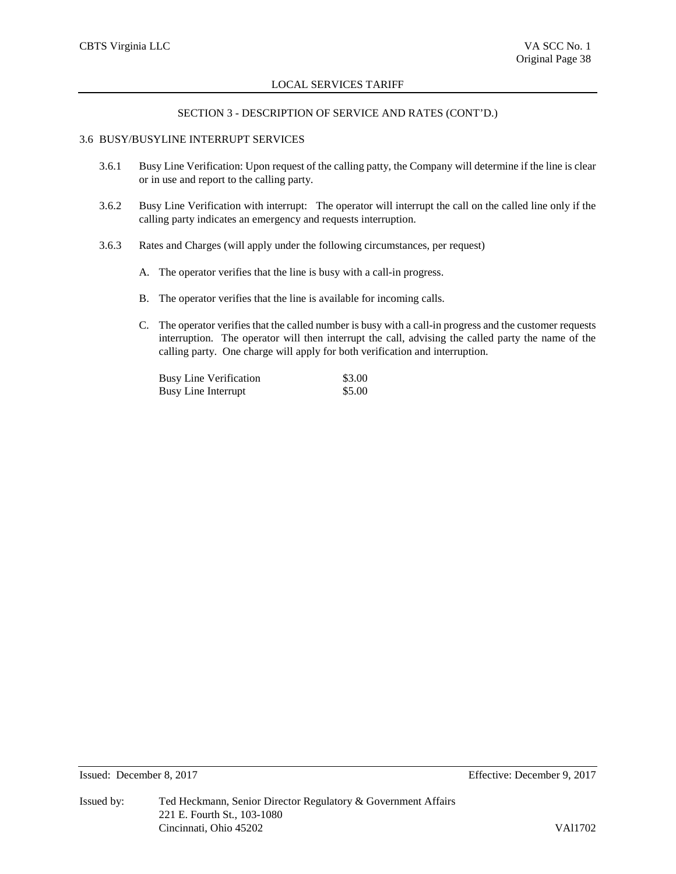## SECTION 3 - DESCRIPTION OF SERVICE AND RATES (CONT'D.)

# 3.6 BUSY/BUSYLINE INTERRUPT SERVICES

- 3.6.1 Busy Line Verification: Upon request of the calling patty, the Company will determine if the line is clear or in use and report to the calling party.
- 3.6.2 Busy Line Verification with interrupt: The operator will interrupt the call on the called line only if the calling party indicates an emergency and requests interruption.
- 3.6.3 Rates and Charges (will apply under the following circumstances, per request)
	- A. The operator verifies that the line is busy with a call-in progress.
	- B. The operator verifies that the line is available for incoming calls.
	- C. The operator verifies that the called number is busy with a call-in progress and the customer requests interruption. The operator will then interrupt the call, advising the called party the name of the calling party. One charge will apply for both verification and interruption.

| <b>Busy Line Verification</b> | \$3.00 |
|-------------------------------|--------|
| <b>Busy Line Interrupt</b>    | \$5.00 |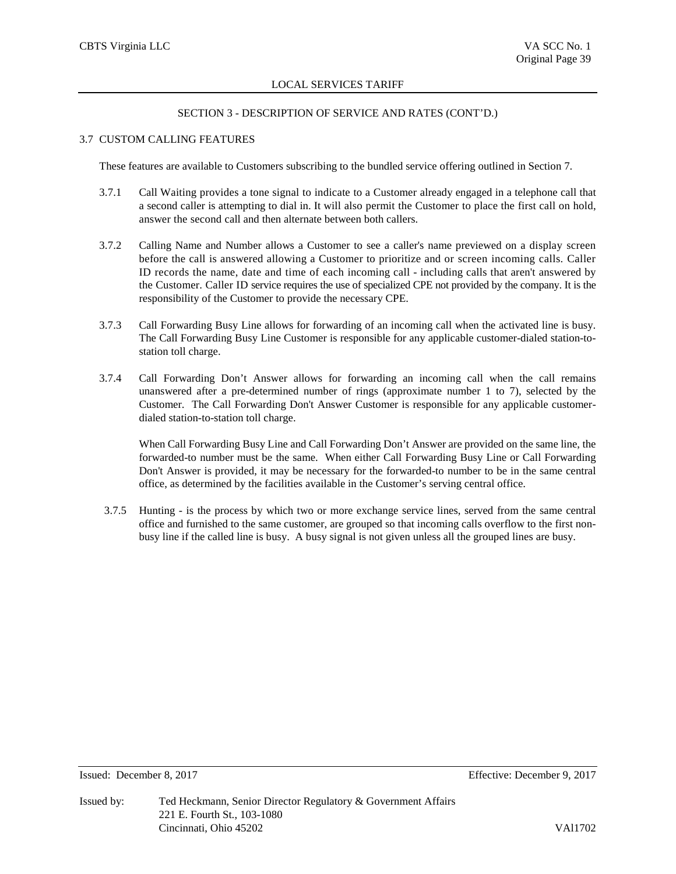## SECTION 3 - DESCRIPTION OF SERVICE AND RATES (CONT'D.)

# 3.7 CUSTOM CALLING FEATURES

These features are available to Customers subscribing to the bundled service offering outlined in Section 7.

- 3.7.1 Call Waiting provides a tone signal to indicate to a Customer already engaged in a telephone call that a second caller is attempting to dial in. It will also permit the Customer to place the first call on hold, answer the second call and then alternate between both callers.
- 3.7.2 Calling Name and Number allows a Customer to see a caller's name previewed on a display screen before the call is answered allowing a Customer to prioritize and or screen incoming calls. Caller ID records the name, date and time of each incoming call - including calls that aren't answered by the Customer. Caller ID service requires the use of specialized CPE not provided by the company. It is the responsibility of the Customer to provide the necessary CPE.
- 3.7.3 Call Forwarding Busy Line allows for forwarding of an incoming call when the activated line is busy. The Call Forwarding Busy Line Customer is responsible for any applicable customer-dialed station-tostation toll charge.
- 3.7.4 Call Forwarding Don't Answer allows for forwarding an incoming call when the call remains unanswered after a pre-determined number of rings (approximate number 1 to 7), selected by the Customer. The Call Forwarding Don't Answer Customer is responsible for any applicable customerdialed station-to-station toll charge.

When Call Forwarding Busy Line and Call Forwarding Don't Answer are provided on the same line, the forwarded-to number must be the same. When either Call Forwarding Busy Line or Call Forwarding Don't Answer is provided, it may be necessary for the forwarded-to number to be in the same central office, as determined by the facilities available in the Customer's serving central office.

3.7.5 Hunting - is the process by which two or more exchange service lines, served from the same central office and furnished to the same customer, are grouped so that incoming calls overflow to the first nonbusy line if the called line is busy. A busy signal is not given unless all the grouped lines are busy.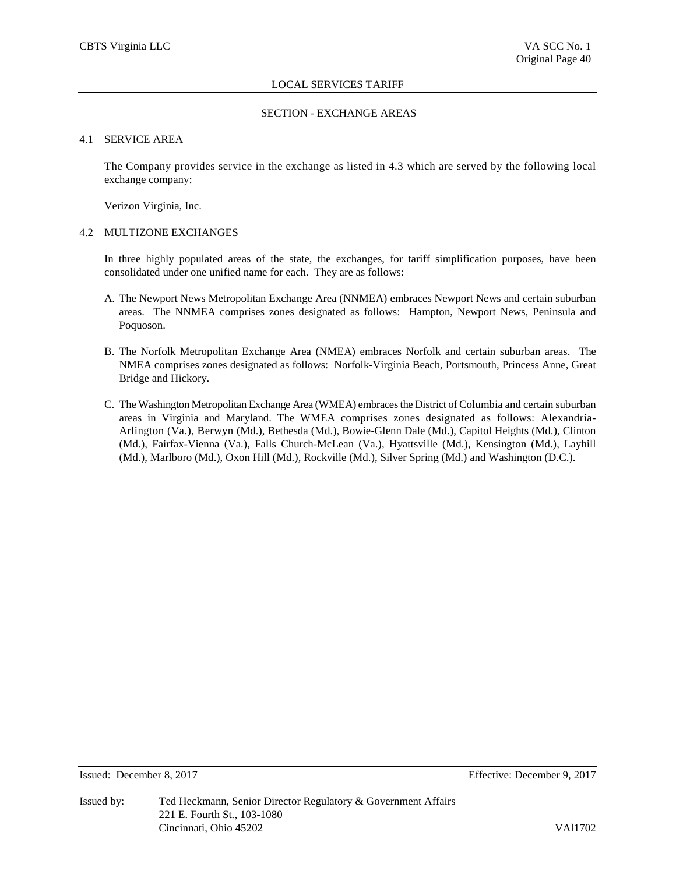## SECTION - EXCHANGE AREAS

# 4.1 SERVICE AREA

The Company provides service in the exchange as listed in 4.3 which are served by the following local exchange company:

Verizon Virginia, Inc.

#### 4.2 MULTIZONE EXCHANGES

In three highly populated areas of the state, the exchanges, for tariff simplification purposes, have been consolidated under one unified name for each. They are as follows:

- A. The Newport News Metropolitan Exchange Area (NNMEA) embraces Newport News and certain suburban areas. The NNMEA comprises zones designated as follows: Hampton, Newport News, Peninsula and Poquoson.
- B. The Norfolk Metropolitan Exchange Area (NMEA) embraces Norfolk and certain suburban areas. The NMEA comprises zones designated as follows: Norfolk-Virginia Beach, Portsmouth, Princess Anne, Great Bridge and Hickory.
- C. The Washington Metropolitan Exchange Area (WMEA) embraces the District of Columbia and certain suburban areas in Virginia and Maryland. The WMEA comprises zones designated as follows: Alexandria-Arlington (Va.), Berwyn (Md.), Bethesda (Md.), Bowie-Glenn Dale (Md.), Capitol Heights (Md.), Clinton (Md.), Fairfax-Vienna (Va.), Falls Church-McLean (Va.), Hyattsville (Md.), Kensington (Md.), Layhill (Md.), Marlboro (Md.), Oxon Hill (Md.), Rockville (Md.), Silver Spring (Md.) and Washington (D.C.).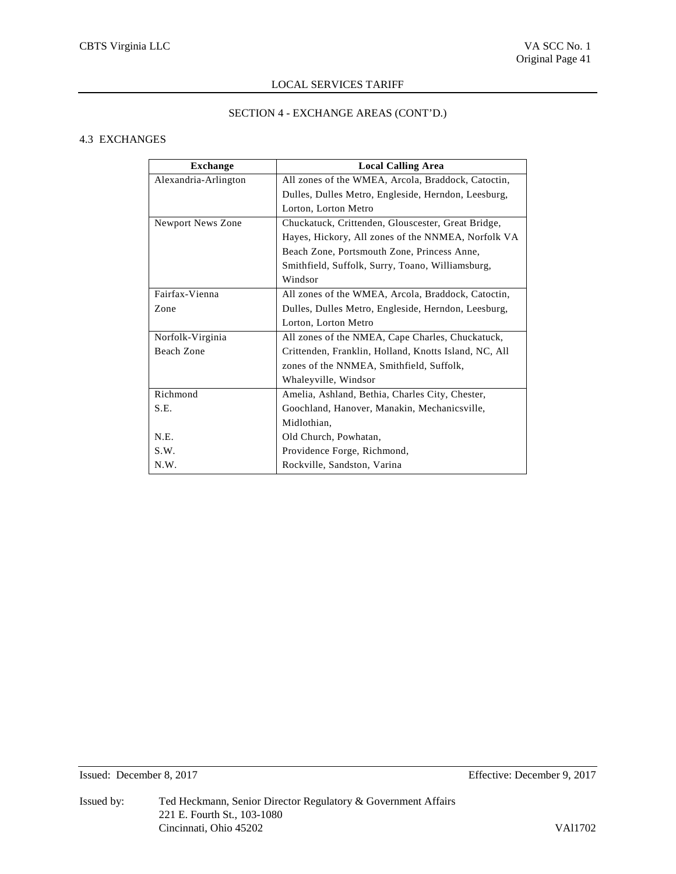# SECTION 4 - EXCHANGE AREAS (CONT'D.)

# 4.3 EXCHANGES

| <b>Exchange</b>      | <b>Local Calling Area</b>                             |
|----------------------|-------------------------------------------------------|
| Alexandria-Arlington | All zones of the WMEA, Arcola, Braddock, Catoctin,    |
|                      | Dulles, Dulles Metro, Engleside, Herndon, Leesburg,   |
|                      | Lorton, Lorton Metro                                  |
| Newport News Zone    | Chuckatuck, Crittenden, Glouscester, Great Bridge,    |
|                      | Hayes, Hickory, All zones of the NNMEA, Norfolk VA    |
|                      | Beach Zone, Portsmouth Zone, Princess Anne,           |
|                      | Smithfield, Suffolk, Surry, Toano, Williamsburg,      |
|                      | Windsor                                               |
| Fairfax-Vienna       | All zones of the WMEA, Arcola, Braddock, Catoctin,    |
| Zone                 | Dulles, Dulles Metro, Engleside, Herndon, Leesburg,   |
|                      | Lorton, Lorton Metro                                  |
| Norfolk-Virginia     | All zones of the NMEA, Cape Charles, Chuckatuck,      |
| Beach Zone           | Crittenden, Franklin, Holland, Knotts Island, NC, All |
|                      | zones of the NNMEA, Smithfield, Suffolk,              |
|                      | Whaleyville, Windsor                                  |
| Richmond             | Amelia, Ashland, Bethia, Charles City, Chester,       |
| S.E.                 | Goochland, Hanover, Manakin, Mechanicsville,          |
|                      | Midlothian,                                           |
| N.E.                 | Old Church, Powhatan,                                 |
| S.W.                 | Providence Forge, Richmond,                           |
| N.W.                 | Rockville, Sandston, Varina                           |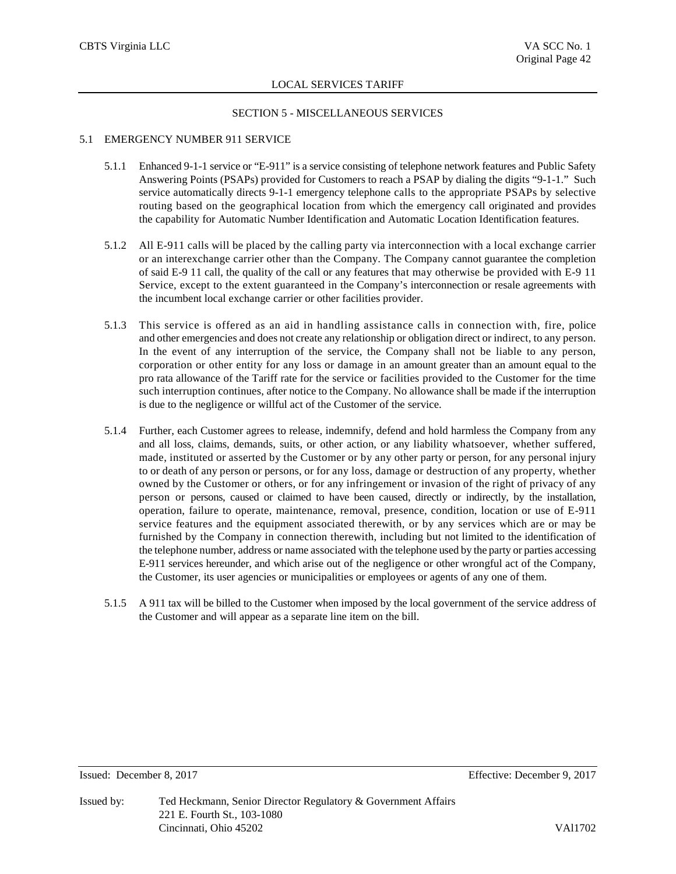#### SECTION 5 - MISCELLANEOUS SERVICES

## 5.1 EMERGENCY NUMBER 911 SERVICE

- 5.1.1 Enhanced 9-1-1 service or "E-911" is a service consisting of telephone network features and Public Safety Answering Points (PSAPs) provided for Customers to reach a PSAP by dialing the digits "9-1-1." Such service automatically directs 9-1-1 emergency telephone calls to the appropriate PSAPs by selective routing based on the geographical location from which the emergency call originated and provides the capability for Automatic Number Identification and Automatic Location Identification features.
- 5.1.2 All E-911 calls will be placed by the calling party via interconnection with a local exchange carrier or an interexchange carrier other than the Company. The Company cannot guarantee the completion of said E-9 11 call, the quality of the call or any features that may otherwise be provided with E-9 11 Service, except to the extent guaranteed in the Company's interconnection or resale agreements with the incumbent local exchange carrier or other facilities provider.
- 5.1.3 This service is offered as an aid in handling assistance calls in connection with, fire, police and other emergencies and does not create any relationship or obligation direct or indirect, to any person. In the event of any interruption of the service, the Company shall not be liable to any person, corporation or other entity for any loss or damage in an amount greater than an amount equal to the pro rata allowance of the Tariff rate for the service or facilities provided to the Customer for the time such interruption continues, after notice to the Company. No allowance shall be made if the interruption is due to the negligence or willful act of the Customer of the service.
- 5.1.4 Further, each Customer agrees to release, indemnify, defend and hold harmless the Company from any and all loss, claims, demands, suits, or other action, or any liability whatsoever, whether suffered, made, instituted or asserted by the Customer or by any other party or person, for any personal injury to or death of any person or persons, or for any loss, damage or destruction of any property, whether owned by the Customer or others, or for any infringement or invasion of the right of privacy of any person or persons, caused or claimed to have been caused, directly or indirectly, by the installation, operation, failure to operate, maintenance, removal, presence, condition, location or use of E-911 service features and the equipment associated therewith, or by any services which are or may be furnished by the Company in connection therewith, including but not limited to the identification of the telephone number, address or name associated with the telephone used by the party or parties accessing E-911 services hereunder, and which arise out of the negligence or other wrongful act of the Company, the Customer, its user agencies or municipalities or employees or agents of any one of them.
- 5.1.5 A 911 tax will be billed to the Customer when imposed by the local government of the service address of the Customer and will appear as a separate line item on the bill.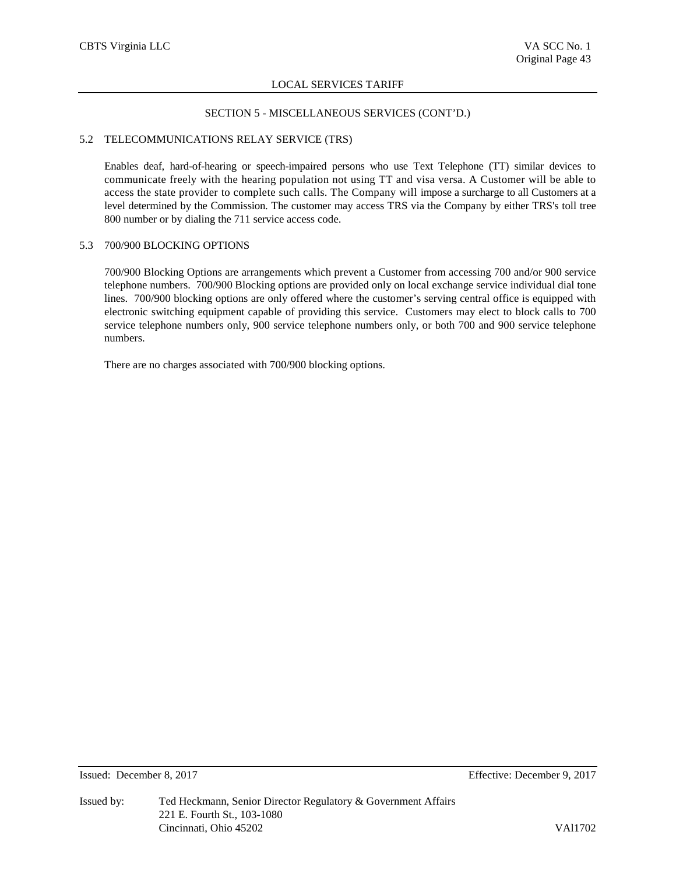## SECTION 5 - MISCELLANEOUS SERVICES (CONT'D.)

# 5.2 TELECOMMUNICATIONS RELAY SERVICE (TRS)

Enables deaf, hard-of-hearing or speech-impaired persons who use Text Telephone (TT) similar devices to communicate freely with the hearing population not using TT and visa versa. A Customer will be able to access the state provider to complete such calls. The Company will impose a surcharge to all Customers at a level determined by the Commission. The customer may access TRS via the Company by either TRS's toll tree 800 number or by dialing the 711 service access code.

## 5.3 700/900 BLOCKING OPTIONS

700/900 Blocking Options are arrangements which prevent a Customer from accessing 700 and/or 900 service telephone numbers. 700/900 Blocking options are provided only on local exchange service individual dial tone lines. 700/900 blocking options are only offered where the customer's serving central office is equipped with electronic switching equipment capable of providing this service. Customers may elect to block calls to 700 service telephone numbers only, 900 service telephone numbers only, or both 700 and 900 service telephone numbers.

There are no charges associated with 700/900 blocking options.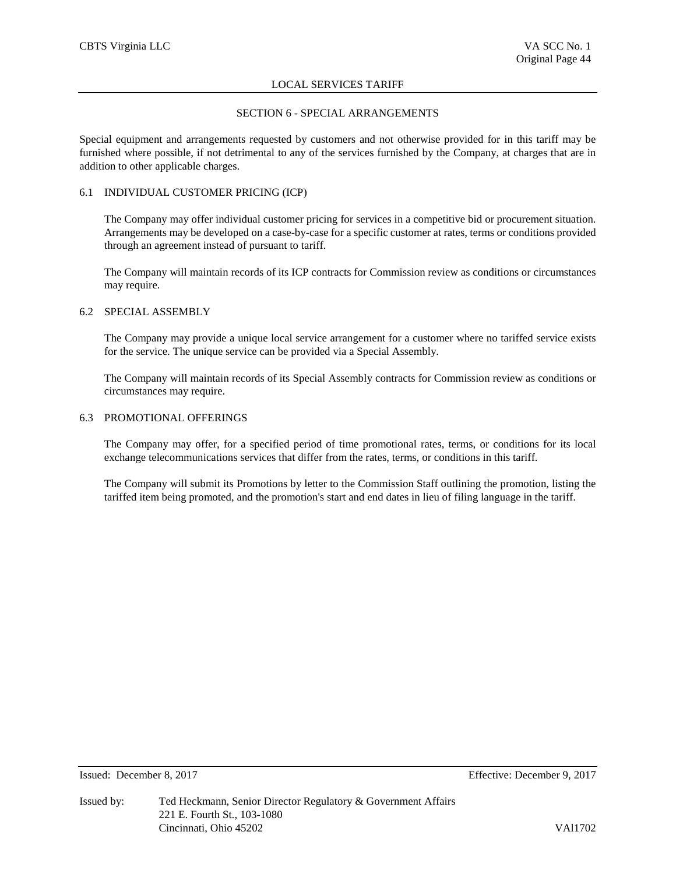# SECTION 6 - SPECIAL ARRANGEMENTS

Special equipment and arrangements requested by customers and not otherwise provided for in this tariff may be furnished where possible, if not detrimental to any of the services furnished by the Company, at charges that are in addition to other applicable charges.

# 6.1 INDIVIDUAL CUSTOMER PRICING (ICP)

The Company may offer individual customer pricing for services in a competitive bid or procurement situation. Arrangements may be developed on a case-by-case for a specific customer at rates, terms or conditions provided through an agreement instead of pursuant to tariff.

The Company will maintain records of its ICP contracts for Commission review as conditions or circumstances may require.

## 6.2 SPECIAL ASSEMBLY

The Company may provide a unique local service arrangement for a customer where no tariffed service exists for the service. The unique service can be provided via a Special Assembly.

The Company will maintain records of its Special Assembly contracts for Commission review as conditions or circumstances may require.

## 6.3 PROMOTIONAL OFFERINGS

The Company may offer, for a specified period of time promotional rates, terms, or conditions for its local exchange telecommunications services that differ from the rates, terms, or conditions in this tariff.

The Company will submit its Promotions by letter to the Commission Staff outlining the promotion, listing the tariffed item being promoted, and the promotion's start and end dates in lieu of filing language in the tariff.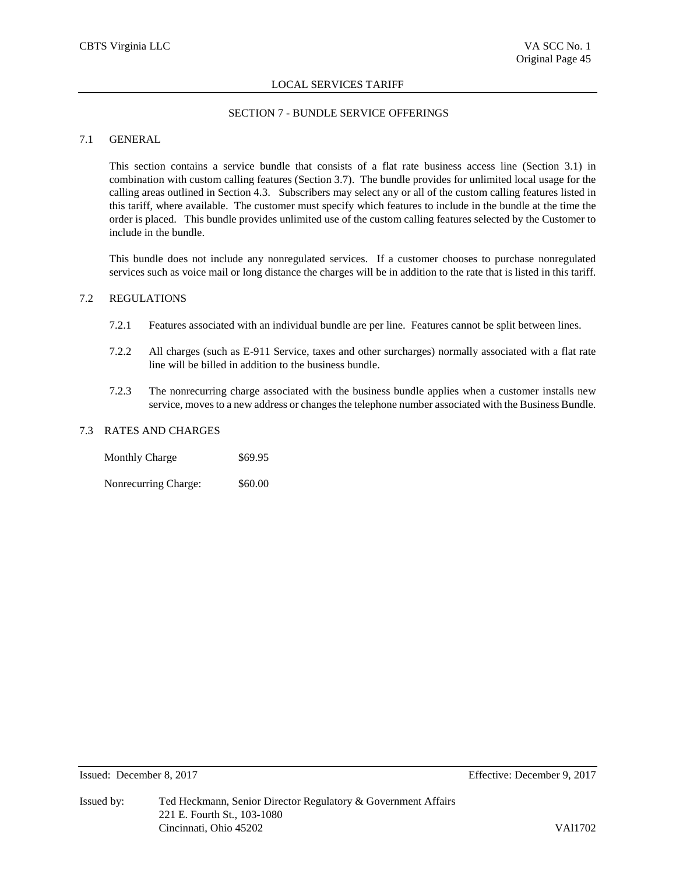# SECTION 7 - BUNDLE SERVICE OFFERINGS

# 7.1 GENERAL

This section contains a service bundle that consists of a flat rate business access line (Section 3.1) in combination with custom calling features (Section 3.7). The bundle provides for unlimited local usage for the calling areas outlined in Section 4.3. Subscribers may select any or all of the custom calling features listed in this tariff, where available. The customer must specify which features to include in the bundle at the time the order is placed. This bundle provides unlimited use of the custom calling features selected by the Customer to include in the bundle.

This bundle does not include any nonregulated services. If a customer chooses to purchase nonregulated services such as voice mail or long distance the charges will be in addition to the rate that is listed in this tariff.

## 7.2 REGULATIONS

- 7.2.1 Features associated with an individual bundle are per line. Features cannot be split between lines.
- 7.2.2 All charges (such as E-911 Service, taxes and other surcharges) normally associated with a flat rate line will be billed in addition to the business bundle.
- 7.2.3 The nonrecurring charge associated with the business bundle applies when a customer installs new service, moves to a new address or changes the telephone number associated with the Business Bundle.

# 7.3 RATES AND CHARGES

Monthly Charge \$69.95

Nonrecurring Charge: \$60.00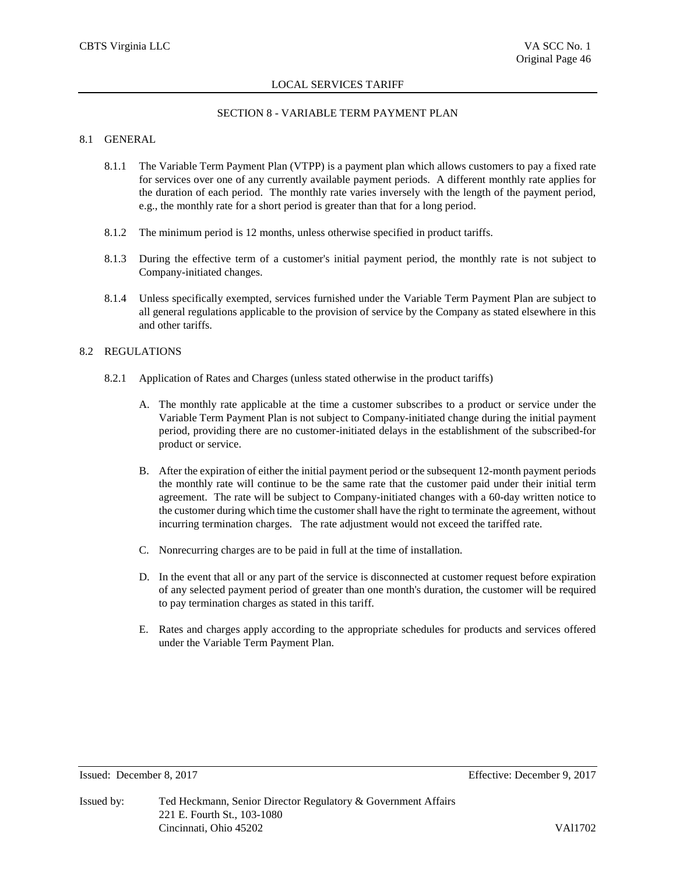#### SECTION 8 - VARIABLE TERM PAYMENT PLAN

# 8.1 GENERAL

- 8.1.1 The Variable Term Payment Plan (VTPP) is a payment plan which allows customers to pay a fixed rate for services over one of any currently available payment periods. A different monthly rate applies for the duration of each period. The monthly rate varies inversely with the length of the payment period, e.g., the monthly rate for a short period is greater than that for a long period.
- 8.1.2 The minimum period is 12 months, unless otherwise specified in product tariffs.
- 8.1.3 During the effective term of a customer's initial payment period, the monthly rate is not subject to Company-initiated changes.
- 8.1.4 Unless specifically exempted, services furnished under the Variable Term Payment Plan are subject to all general regulations applicable to the provision of service by the Company as stated elsewhere in this and other tariffs.

# 8.2 REGULATIONS

- 8.2.1 Application of Rates and Charges (unless stated otherwise in the product tariffs)
	- A. The monthly rate applicable at the time a customer subscribes to a product or service under the Variable Term Payment Plan is not subject to Company-initiated change during the initial payment period, providing there are no customer-initiated delays in the establishment of the subscribed-for product or service.
	- B. After the expiration of either the initial payment period or the subsequent 12-month payment periods the monthly rate will continue to be the same rate that the customer paid under their initial term agreement. The rate will be subject to Company-initiated changes with a 60-day written notice to the customer during which time the customer shall have the right to terminate the agreement, without incurring termination charges. The rate adjustment would not exceed the tariffed rate.
	- C. Nonrecurring charges are to be paid in full at the time of installation.
	- D. In the event that all or any part of the service is disconnected at customer request before expiration of any selected payment period of greater than one month's duration, the customer will be required to pay termination charges as stated in this tariff.
	- E. Rates and charges apply according to the appropriate schedules for products and services offered under the Variable Term Payment Plan.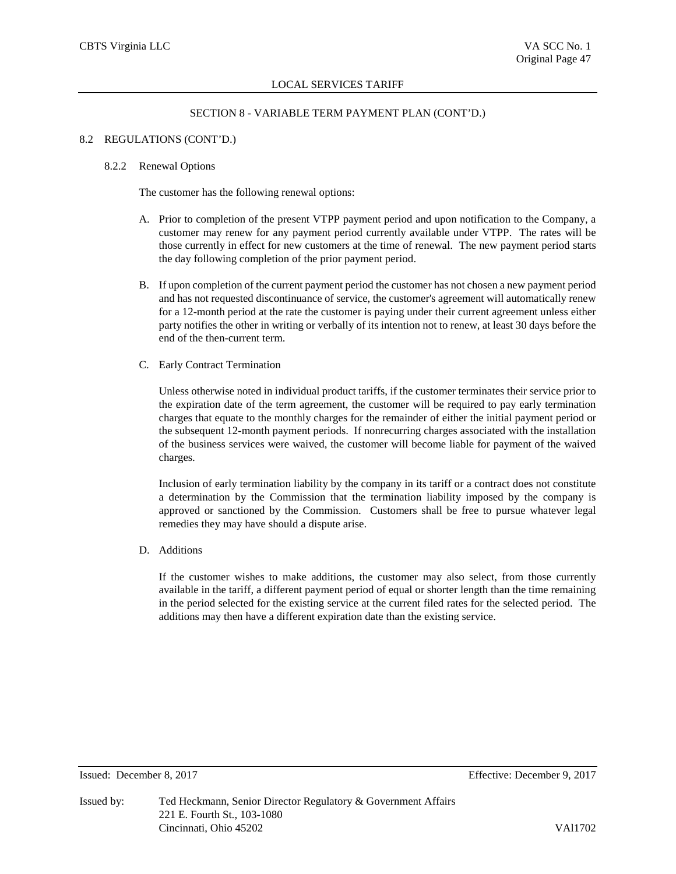# SECTION 8 - VARIABLE TERM PAYMENT PLAN (CONT'D.)

# 8.2 REGULATIONS (CONT'D.)

#### 8.2.2 Renewal Options

The customer has the following renewal options:

- A. Prior to completion of the present VTPP payment period and upon notification to the Company, a customer may renew for any payment period currently available under VTPP. The rates will be those currently in effect for new customers at the time of renewal. The new payment period starts the day following completion of the prior payment period.
- B. If upon completion of the current payment period the customer has not chosen a new payment period and has not requested discontinuance of service, the customer's agreement will automatically renew for a 12-month period at the rate the customer is paying under their current agreement unless either party notifies the other in writing or verbally of its intention not to renew, at least 30 days before the end of the then-current term.
- C. Early Contract Termination

Unless otherwise noted in individual product tariffs, if the customer terminates their service prior to the expiration date of the term agreement, the customer will be required to pay early termination charges that equate to the monthly charges for the remainder of either the initial payment period or the subsequent 12-month payment periods. If nonrecurring charges associated with the installation of the business services were waived, the customer will become liable for payment of the waived charges.

Inclusion of early termination liability by the company in its tariff or a contract does not constitute a determination by the Commission that the termination liability imposed by the company is approved or sanctioned by the Commission. Customers shall be free to pursue whatever legal remedies they may have should a dispute arise.

D. Additions

If the customer wishes to make additions, the customer may also select, from those currently available in the tariff, a different payment period of equal or shorter length than the time remaining in the period selected for the existing service at the current filed rates for the selected period. The additions may then have a different expiration date than the existing service.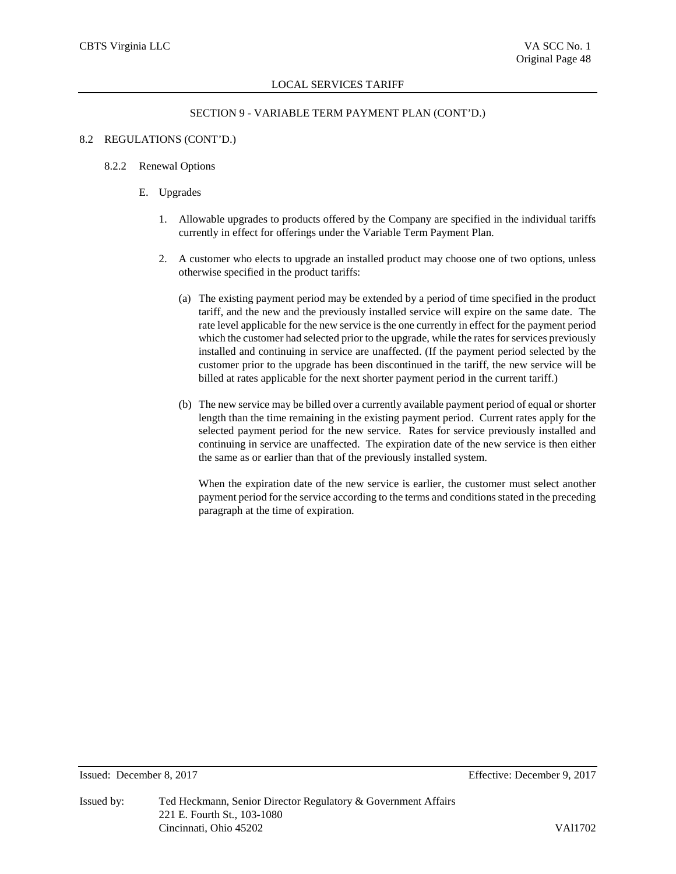# SECTION 9 - VARIABLE TERM PAYMENT PLAN (CONT'D.)

## 8.2 REGULATIONS (CONT'D.)

## 8.2.2 Renewal Options

- E. Upgrades
	- 1. Allowable upgrades to products offered by the Company are specified in the individual tariffs currently in effect for offerings under the Variable Term Payment Plan.
	- 2. A customer who elects to upgrade an installed product may choose one of two options, unless otherwise specified in the product tariffs:
		- (a) The existing payment period may be extended by a period of time specified in the product tariff, and the new and the previously installed service will expire on the same date. The rate level applicable for the new service is the one currently in effect for the payment period which the customer had selected prior to the upgrade, while the rates for services previously installed and continuing in service are unaffected. (If the payment period selected by the customer prior to the upgrade has been discontinued in the tariff, the new service will be billed at rates applicable for the next shorter payment period in the current tariff.)
		- (b) The new service may be billed over a currently available payment period of equal or shorter length than the time remaining in the existing payment period. Current rates apply for the selected payment period for the new service. Rates for service previously installed and continuing in service are unaffected. The expiration date of the new service is then either the same as or earlier than that of the previously installed system.

When the expiration date of the new service is earlier, the customer must select another payment period for the service according to the terms and conditions stated in the preceding paragraph at the time of expiration.